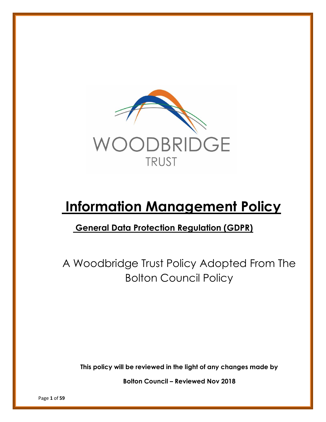

# **Information Management Policy**

## **General Data Protection Regulation (GDPR)**

A Woodbridge Trust Policy Adopted From The Bolton Council Policy

**This policy will be reviewed in the light of any changes made by**

**Bolton Council – Reviewed Nov 2018**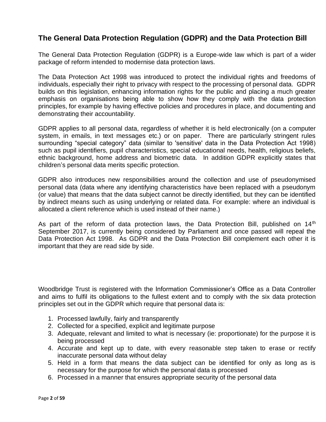## **The General Data Protection Regulation (GDPR) and the Data Protection Bill**

The General Data Protection Regulation (GDPR) is a Europe-wide law which is part of a wider package of reform intended to modernise data protection laws.

The Data Protection Act 1998 was introduced to protect the individual rights and freedoms of individuals, especially their right to privacy with respect to the processing of personal data. GDPR builds on this legislation, enhancing information rights for the public and placing a much greater emphasis on organisations being able to show how they comply with the data protection principles, for example by having effective policies and procedures in place, and documenting and demonstrating their accountability.

GDPR applies to all personal data, regardless of whether it is held electronically (on a computer system, in emails, in text messages etc.) or on paper. There are particularly stringent rules surrounding "special category" data (similar to 'sensitive' data in the Data Protection Act 1998) such as pupil identifiers, pupil characteristics, special educational needs, health, religious beliefs, ethnic background, home address and biometric data. In addition GDPR explicitly states that children's personal data merits specific protection.

GDPR also introduces new responsibilities around the collection and use of pseudonymised personal data (data where any identifying characteristics have been replaced with a pseudonym (or value) that means that the data subject cannot be directly identified, but they can be identified by indirect means such as using underlying or related data. For example: where an individual is allocated a client reference which is used instead of their name.)

As part of the reform of data protection laws, the Data Protection Bill, published on 14<sup>th</sup> September 2017, is currently being considered by Parliament and once passed will repeal the Data Protection Act 1998. As GDPR and the Data Protection Bill complement each other it is important that they are read side by side.

Woodbridge Trust is registered with the Information Commissioner's Office as a Data Controller and aims to fulfil its obligations to the fullest extent and to comply with the six data protection principles set out in the GDPR which require that personal data is:

- 1. Processed lawfully, fairly and transparently
- 2. Collected for a specified, explicit and legitimate purpose
- 3. Adequate, relevant and limited to what is necessary (ie: proportionate) for the purpose it is being processed
- 4. Accurate and kept up to date, with every reasonable step taken to erase or rectify inaccurate personal data without delay
- 5. Held in a form that means the data subject can be identified for only as long as is necessary for the purpose for which the personal data is processed
- 6. Processed in a manner that ensures appropriate security of the personal data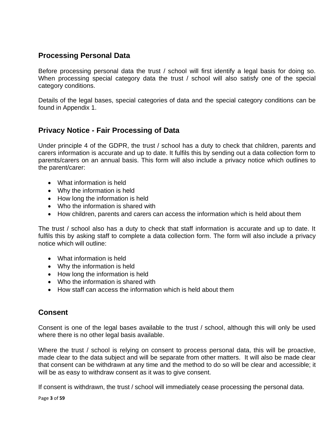## **Processing Personal Data**

Before processing personal data the trust / school will first identify a legal basis for doing so. When processing special category data the trust / school will also satisfy one of the special category conditions.

Details of the legal bases, special categories of data and the special category conditions can be found in Appendix 1.

## **Privacy Notice - Fair Processing of Data**

Under principle 4 of the GDPR, the trust / school has a duty to check that children, parents and carers information is accurate and up to date. It fulfils this by sending out a data collection form to parents/carers on an annual basis. This form will also include a privacy notice which outlines to the parent/carer:

- What information is held
- Why the information is held
- How long the information is held
- Who the information is shared with
- How children, parents and carers can access the information which is held about them

The trust / school also has a duty to check that staff information is accurate and up to date. It fulfils this by asking staff to complete a data collection form. The form will also include a privacy notice which will outline:

- What information is held
- Why the information is held
- How long the information is held
- Who the information is shared with
- How staff can access the information which is held about them

## **Consent**

Consent is one of the legal bases available to the trust / school, although this will only be used where there is no other legal basis available.

Where the trust / school is relying on consent to process personal data, this will be proactive, made clear to the data subject and will be separate from other matters. It will also be made clear that consent can be withdrawn at any time and the method to do so will be clear and accessible; it will be as easy to withdraw consent as it was to give consent.

If consent is withdrawn, the trust / school will immediately cease processing the personal data.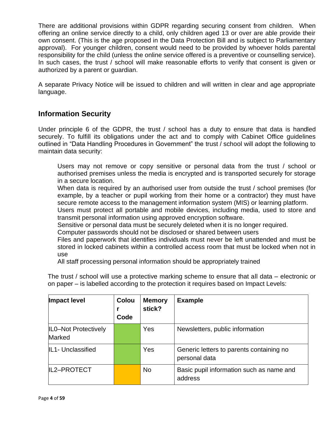There are additional provisions within GDPR regarding securing consent from children. When offering an online service directly to a child, only children aged 13 or over are able provide their own consent. (This is the age proposed in the Data Protection Bill and is subject to Parliamentary approval). For younger children, consent would need to be provided by whoever holds parental responsibility for the child (unless the online service offered is a preventive or counselling service). In such cases, the trust / school will make reasonable efforts to verify that consent is given or authorized by a parent or guardian.

A separate Privacy Notice will be issued to children and will written in clear and age appropriate language.

## **Information Security**

Under principle 6 of the GDPR, the trust / school has a duty to ensure that data is handled securely. To fulfill its obligations under the act and to comply with Cabinet Office guidelines outlined in "Data Handling Procedures in Government" the trust / school will adopt the following to maintain data security:

Users may not remove or copy sensitive or personal data from the trust / school or authorised premises unless the media is encrypted and is transported securely for storage in a secure location.

When data is required by an authorised user from outside the trust / school premises (for example, by a teacher or pupil working from their home or a contractor) they must have secure remote access to the management information system (MIS) or learning platform.

Users must protect all portable and mobile devices, including media, used to store and transmit personal information using approved encryption software.

Sensitive or personal data must be securely deleted when it is no longer required.

Computer passwords should not be disclosed or shared between users

Files and paperwork that identifies individuals must never be left unattended and must be stored in locked cabinets within a controlled access room that must be locked when not in use

All staff processing personal information should be appropriately trained

The trust / school will use a protective marking scheme to ensure that all data – electronic or on paper – is labelled according to the protection it requires based on Impact Levels:

| <b>Impact level</b>            | Colou<br>Code | <b>Memory</b><br>stick? | <b>Example</b>                                            |
|--------------------------------|---------------|-------------------------|-----------------------------------------------------------|
| ILO-Not Protectively<br>Marked |               | Yes                     | Newsletters, public information                           |
| IL1- Unclassified              |               | Yes                     | Generic letters to parents containing no<br>personal data |
| IL2-PROTECT                    |               | <b>No</b>               | Basic pupil information such as name and<br>address       |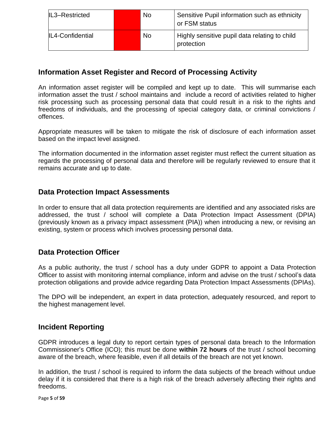| IL3-Restricted          | <b>No</b> | Sensitive Pupil information such as ethnicity<br>or FSM status |  |  |
|-------------------------|-----------|----------------------------------------------------------------|--|--|
| <b>IL4-Confidential</b> | <b>No</b> | Highly sensitive pupil data relating to child<br>protection    |  |  |

## **Information Asset Register and Record of Processing Activity**

An information asset register will be compiled and kept up to date. This will summarise each information asset the trust / school maintains and include a record of activities related to higher risk processing such as processing personal data that could result in a risk to the rights and freedoms of individuals, and the processing of special category data, or criminal convictions / offences.

Appropriate measures will be taken to mitigate the risk of disclosure of each information asset based on the impact level assigned.

The information documented in the information asset register must reflect the current situation as regards the processing of personal data and therefore will be regularly reviewed to ensure that it remains accurate and up to date.

## **Data Protection Impact Assessments**

In order to ensure that all data protection requirements are identified and any associated risks are addressed, the trust / school will complete a Data Protection Impact Assessment (DPIA) (previously known as a privacy impact assessment (PIA)) when introducing a new, or revising an existing, system or process which involves processing personal data.

## **Data Protection Officer**

As a public authority, the trust / school has a duty under GDPR to appoint a Data Protection Officer to assist with monitoring internal compliance, inform and advise on the trust / school's data protection obligations and provide advice regarding Data Protection Impact Assessments (DPIAs).

The DPO will be independent, an expert in data protection, adequately resourced, and report to the highest management level.

## **Incident Reporting**

GDPR introduces a legal duty to report certain types of personal data breach to the Information Commissioner's Office (ICO); this must be done **within 72 hours** of the trust / school becoming aware of the breach, where feasible, even if all details of the breach are not yet known.

In addition, the trust / school is required to inform the data subjects of the breach without undue delay if it is considered that there is a high risk of the breach adversely affecting their rights and freedoms.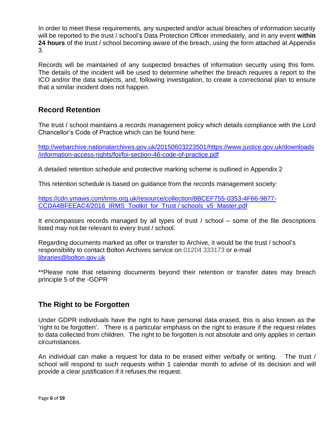In order to meet these requirements, any suspected and/or actual breaches of information security will be reported to the trust / school's Data Protection Officer immediately, and in any event **within 24 hours** of the trust / school becoming aware of the breach, using the form attached at Appendix 3.

Records will be maintained of any suspected breaches of information security using this form. The details of the incident will be used to determine whether the breach requires a report to the ICO and/or the data subjects, and, following investigation, to create a correctional plan to ensure that a similar incident does not happen.

## **Record Retention**

The trust / school maintains a records management policy which details compliance with the Lord Chancellor's Code of Practice which can be found here:

[http://webarchive.nationalarchives.gov.uk/20150603223501/https://www.justice.gov.uk/downloads](http://webarchive.nationalarchives.gov.uk/20150603223501/https:/www.justice.gov.uk/downloads/information-access-rights/foi/foi-section-46-code-of-practice.pdf) [/information-access-rights/foi/foi-section-46-code-of-practice.pdf](http://webarchive.nationalarchives.gov.uk/20150603223501/https:/www.justice.gov.uk/downloads/information-access-rights/foi/foi-section-46-code-of-practice.pdf)

A detailed retention schedule and protective marking scheme is outlined in Appendix 2

This retention schedule is based on guidance from the records management society:

[https://cdn.ymaws.com/irms.org.uk/resource/collection/8BCEF755-0353-4F66-9877-](https://cdn.ymaws.com/irms.org.uk/resource/collection/8BCEF755-0353-4F66-9877-CCDA4BFEEAC4/2016_IRMS_Toolkit_for_Schools_v5_Master.pdf) [CCDA4BFEEAC4/2016\\_IRMS\\_Toolkit\\_for\\_Trust / schools\\_v5\\_Master.pdf](https://cdn.ymaws.com/irms.org.uk/resource/collection/8BCEF755-0353-4F66-9877-CCDA4BFEEAC4/2016_IRMS_Toolkit_for_Schools_v5_Master.pdf)

It encompasses records managed by all types of trust / school – some of the file descriptions listed may not be relevant to every trust / school.

Regarding documents marked as offer or transfer to Archive, it would be the trust / school's responsibility to contact Bolton Archives service on 01204 333173 or e-mail [libraries@bolton.gov.uk](mailto:libraries@bolton.gov.uk)

\*\*Please note that retaining documents beyond their retention or transfer dates may breach principle 5 of the -GDPR

## **The Right to be Forgotten**

Under GDPR individuals have the right to have personal data erased, this is also known as the 'right to be forgotten'. There is a particular emphasis on the right to erasure if the request relates to data collected from children. The right to be forgotten is not absolute and only applies in certain circumstances.

An individual can make a request for data to be erased either verbally or writing. The trust / school will respond to such requests within 1 calendar month to advise of its decision and will provide a clear justification if it refuses the request.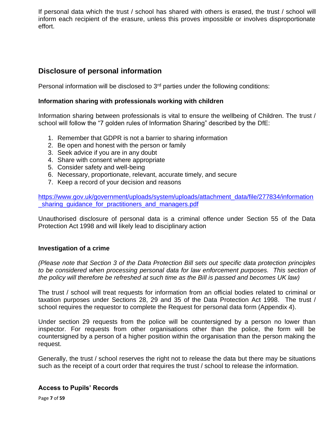If personal data which the trust / school has shared with others is erased, the trust / school will inform each recipient of the erasure, unless this proves impossible or involves disproportionate effort.

## **Disclosure of personal information**

Personal information will be disclosed to 3rd parties under the following conditions:

#### **Information sharing with professionals working with children**

Information sharing between professionals is vital to ensure the wellbeing of Children. The trust / school will follow the "7 golden rules of Information Sharing" described by the DfE:

- 1. Remember that GDPR is not a barrier to sharing information
- 2. Be open and honest with the person or family
- 3. Seek advice if you are in any doubt
- 4. Share with consent where appropriate
- 5. Consider safety and well-being
- 6. Necessary, proportionate, relevant, accurate timely, and secure
- 7. Keep a record of your decision and reasons

[https://www.gov.uk/government/uploads/system/uploads/attachment\\_data/file/277834/information](https://www.gov.uk/government/uploads/system/uploads/attachment_data/file/277834/information_sharing_guidance_for_practitioners_and_managers.pdf) sharing quidance for practitioners and managers.pdf

Unauthorised disclosure of personal data is a criminal offence under Section 55 of the Data Protection Act 1998 and will likely lead to disciplinary action

#### **Investigation of a crime**

*(Please note that Section 3 of the Data Protection Bill sets out specific data protection principles*  to be considered when processing personal data for law enforcement purposes. This section of *the policy will therefore be refreshed at such time as the Bill is passed and becomes UK law)*

The trust / school will treat requests for information from an official bodies related to criminal or taxation purposes under Sections 28, 29 and 35 of the Data Protection Act 1998. The trust / school requires the requestor to complete the Request for personal data form (Appendix 4).

Under section 29 requests from the police will be countersigned by a person no lower than inspector. For requests from other organisations other than the police, the form will be countersigned by a person of a higher position within the organisation than the person making the request.

Generally, the trust / school reserves the right not to release the data but there may be situations such as the receipt of a court order that requires the trust / school to release the information.

#### **Access to Pupils' Records**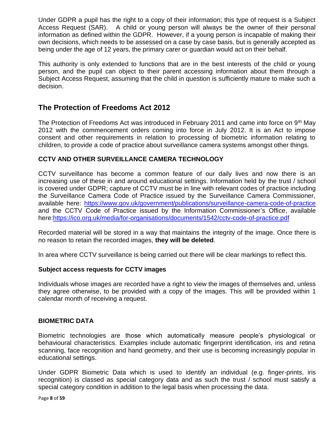Under GDPR a pupil has the right to a copy of their information; this type of request is a Subject Access Request (SAR). A child or young person will always be the owner of their personal information as defined within the GDPR. However, if a young person is incapable of making their own decisions, which needs to be assessed on a case by case basis, but is generally accepted as being under the age of 12 years, the primary carer or guardian would act on their behalf.

This authority is only extended to functions that are in the best interests of the child or young person, and the pupil can object to their parent accessing information about them through a Subject Access Request, assuming that the child in question is sufficiently mature to make such a decision.

## **The Protection of Freedoms Act 2012**

The Protection of Freedoms Act was introduced in February 2011 and came into force on 9<sup>th</sup> May 2012 with the commencement orders coming into force in July 2012. It is an Act to impose consent and other requirements in relation to processing of biometric information relating to children, to provide a code of practice about surveillance camera systems amongst other things.

#### **CCTV AND OTHER SURVEILLANCE CAMERA TECHNOLOGY**

CCTV surveillance has become a common feature of our daily lives and now there is an increasing use of these in and around educational settings. Information held by the trust / school is covered under GDPR; capture of CCTV must be in line with relevant codes of practice including the Surveillance Camera Code of Practice issued by the Surveillance Camera Commissioner, available here: <https://www.gov.uk/government/publications/surveillance-camera-code-of-practice> and the CCTV Code of Practice issued by the Information Commissioner's Office, available here[:https://ico.org.uk/media/for-organisations/documents/1542/cctv-code-of-practice.pdf](https://ico.org.uk/media/for-organisations/documents/1542/cctv-code-of-practice.pdf)

Recorded material will be stored in a way that maintains the integrity of the image. Once there is no reason to retain the recorded images, **they will be deleted**.

In area where CCTV surveillance is being carried out there will be clear markings to reflect this.

#### **Subject access requests for CCTV images**

Individuals whose images are recorded have a right to view the images of themselves and, unless they agree otherwise, to be provided with a copy of the images. This will be provided within 1 calendar month of receiving a request.

#### **BIOMETRIC DATA**

Biometric technologies are those which automatically measure people's physiological or behavioural characteristics. Examples include automatic fingerprint identification, iris and retina scanning, face recognition and hand geometry, and their use is becoming increasingly popular in educational settings.

Under GDPR Biometric Data which is used to identify an individual (e.g. finger-prints, iris recognition) is classed as special category data and as such the trust / school must satisfy a special category condition in addition to the legal basis when processing the data.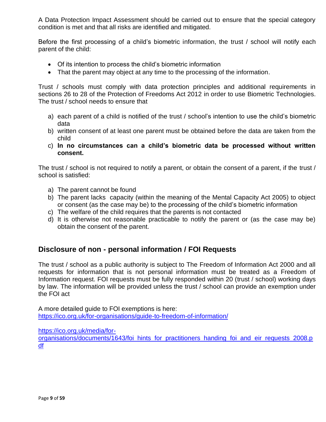A Data Protection Impact Assessment should be carried out to ensure that the special category condition is met and that all risks are identified and mitigated.

Before the first processing of a child's biometric information, the trust / school will notify each parent of the child:

- Of its intention to process the child's biometric information
- That the parent may object at any time to the processing of the information.

Trust / schools must comply with data protection principles and additional requirements in sections 26 to 28 of the Protection of Freedoms Act 2012 in order to use Biometric Technologies. The trust / school needs to ensure that

- a) each parent of a child is notified of the trust / school's intention to use the child's biometric data
- b) written consent of at least one parent must be obtained before the data are taken from the child
- c) **In no circumstances can a child's biometric data be processed without written consent.**

The trust / school is not required to notify a parent, or obtain the consent of a parent, if the trust / school is satisfied:

- a) The parent cannot be found
- b) The parent lacks capacity (within the meaning of the Mental Capacity Act 2005) to object or consent (as the case may be) to the processing of the child's biometric information
- c) The welfare of the child requires that the parents is not contacted
- d) It is otherwise not reasonable practicable to notify the parent or (as the case may be) obtain the consent of the parent.

## **Disclosure of non - personal information / FOI Requests**

The trust / school as a public authority is subject to The Freedom of Information Act 2000 and all requests for information that is not personal information must be treated as a Freedom of Information request. FOI requests must be fully responded within 20 (trust / school) working days by law. The information will be provided unless the trust / school can provide an exemption under the FOI act

A more detailed guide to FOI exemptions is here: <https://ico.org.uk/for-organisations/guide-to-freedom-of-information/>

[https://ico.org.uk/media/for-](https://ico.org.uk/media/for-organisations/documents/1643/foi_hints_for_practitioners_handing_foi_and_eir_requests_2008.pdf)

[organisations/documents/1643/foi\\_hints\\_for\\_practitioners\\_handing\\_foi\\_and\\_eir\\_requests\\_2008.p](https://ico.org.uk/media/for-organisations/documents/1643/foi_hints_for_practitioners_handing_foi_and_eir_requests_2008.pdf) [df](https://ico.org.uk/media/for-organisations/documents/1643/foi_hints_for_practitioners_handing_foi_and_eir_requests_2008.pdf)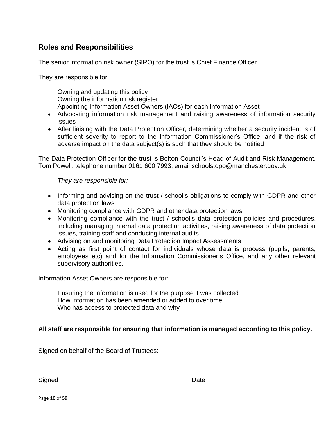## **Roles and Responsibilities**

The senior information risk owner (SIRO) for the trust is Chief Finance Officer

They are responsible for:

Owning and updating this policy Owning the information risk register Appointing Information Asset Owners (IAOs) for each Information Asset

- Advocating information risk management and raising awareness of information security issues
- After liaising with the Data Protection Officer, determining whether a security incident is of sufficient severity to report to the Information Commissioner's Office, and if the risk of adverse impact on the data subject(s) is such that they should be notified

The Data Protection Officer for the trust is Bolton Council's Head of Audit and Risk Management, Tom Powell, telephone number 0161 600 7993, email schools.dpo@manchester.gov.uk

*They are responsible for:*

- Informing and advising on the trust / school's obligations to comply with GDPR and other data protection laws
- Monitoring compliance with GDPR and other data protection laws
- Monitoring compliance with the trust / school's data protection policies and procedures, including managing internal data protection activities, raising awareness of data protection issues, training staff and conducing internal audits
- Advising on and monitoring Data Protection Impact Assessments
- Acting as first point of contact for individuals whose data is process (pupils, parents, employees etc) and for the Information Commissioner's Office, and any other relevant supervisory authorities.

Information Asset Owners are responsible for:

Ensuring the information is used for the purpose it was collected How information has been amended or added to over time Who has access to protected data and why

#### **All staff are responsible for ensuring that information is managed according to this policy.**

Signed on behalf of the Board of Trustees:

 $\mathsf{Signed} \_\_\_\_\_\_\_\_\$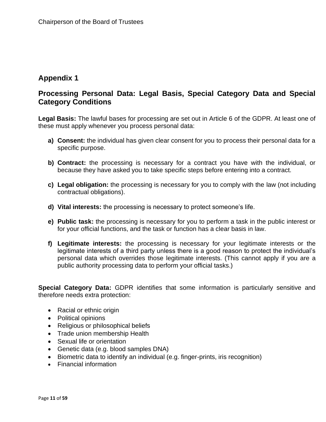## **Appendix 1**

## **Processing Personal Data: Legal Basis, Special Category Data and Special Category Conditions**

**Legal Basis:** The lawful bases for processing are set out in Article 6 of the GDPR. At least one of these must apply whenever you process personal data:

- **a) Consent:** the individual has given clear consent for you to process their personal data for a specific purpose.
- **b) Contract:** the processing is necessary for a contract you have with the individual, or because they have asked you to take specific steps before entering into a contract.
- **c) Legal obligation:** the processing is necessary for you to comply with the law (not including contractual obligations).
- **d) Vital interests:** the processing is necessary to protect someone's life.
- **e) Public task:** the processing is necessary for you to perform a task in the public interest or for your official functions, and the task or function has a clear basis in law.
- **f) Legitimate interests:** the processing is necessary for your legitimate interests or the legitimate interests of a third party unless there is a good reason to protect the individual's personal data which overrides those legitimate interests. (This cannot apply if you are a public authority processing data to perform your official tasks.)

**Special Category Data:** GDPR identifies that some information is particularly sensitive and therefore needs extra protection:

- Racial or ethnic origin
- Political opinions
- Religious or philosophical beliefs
- Trade union membership Health
- Sexual life or orientation
- Genetic data (e.g. blood samples DNA)
- Biometric data to identify an individual (e.g. finger-prints, iris recognition)
- Financial information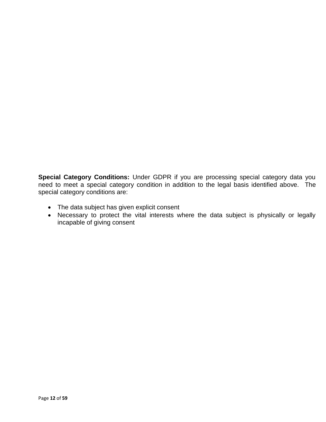**Special Category Conditions:** Under GDPR if you are processing special category data you need to meet a special category condition in addition to the legal basis identified above. The special category conditions are:

- The data subject has given explicit consent
- Necessary to protect the vital interests where the data subject is physically or legally incapable of giving consent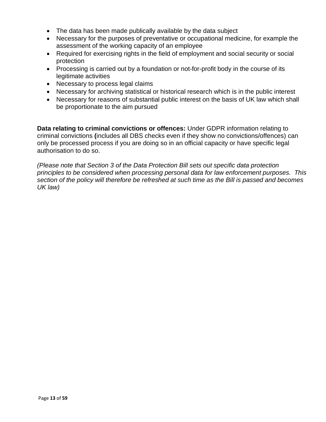- The data has been made publically available by the data subject
- Necessary for the purposes of preventative or occupational medicine, for example the assessment of the working capacity of an employee
- Required for exercising rights in the field of employment and social security or social protection
- Processing is carried out by a foundation or not-for-profit body in the course of its legitimate activities
- Necessary to process legal claims
- Necessary for archiving statistical or historical research which is in the public interest
- Necessary for reasons of substantial public interest on the basis of UK law which shall be proportionate to the aim pursued

• authorisation to do so. **Data relating to criminal convictions or offences:** Under GDPR information relating to criminal convictions **(**includes all DBS checks even if they show no convictions/offences) can only be processed process if you are doing so in an official capacity or have specific legal

*(Please note that Section 3 of the Data Protection Bill sets out specific data protection principles to be considered when processing personal data for law enforcement purposes. This section of the policy will therefore be refreshed at such time as the Bill is passed and becomes UK law)*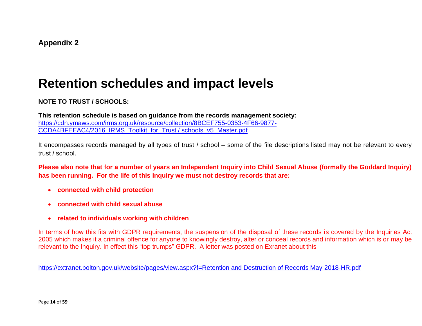## **Retention schedules and impact levels**

**NOTE TO TRUST / SCHOOLS:** 

**This retention schedule is based on guidance from the records management society:**  [https://cdn.ymaws.com/irms.org.uk/resource/collection/8BCEF755-0353-4F66-9877-](https://cdn.ymaws.com/irms.org.uk/resource/collection/8BCEF755-0353-4F66-9877-CCDA4BFEEAC4/2016_IRMS_Toolkit_for_Schools_v5_Master.pdf) [CCDA4BFEEAC4/2016\\_IRMS\\_Toolkit\\_for\\_Trust / schools\\_v5\\_Master.pdf](https://cdn.ymaws.com/irms.org.uk/resource/collection/8BCEF755-0353-4F66-9877-CCDA4BFEEAC4/2016_IRMS_Toolkit_for_Schools_v5_Master.pdf)

It encompasses records managed by all types of trust / school – some of the file descriptions listed may not be relevant to every trust / school.

**Please also note that for a number of years an Independent Inquiry into Child Sexual Abuse (formally the Goddard Inquiry) has been running. For the life of this Inquiry we must not destroy records that are:**

- **connected with child protection**
- **connected with child sexual abuse**
- **related to individuals working with children**

In terms of how this fits with GDPR requirements, the suspension of the disposal of these records is covered by the Inquiries Act 2005 which makes it a criminal offence for anyone to knowingly destroy, alter or conceal records and information which is or may be relevant to the Inquiry. In effect this "top trumps" GDPR. A letter was posted on Exranet about this

[https://extranet.bolton.gov.uk/website/pages/view.aspx?f=Retention and Destruction of Records May 2018-HR.pdf](https://extranet.bolton.gov.uk/website/pages/view.aspx?f=Retention%20and%20Destruction%20of%20Records%20May%202018-HR.pdf)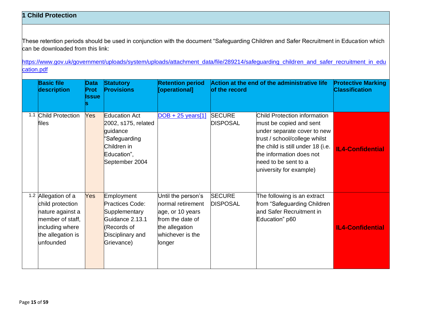### **1 Child Protection**

These retention periods should be used in conjunction with the document "Safeguarding Children and Safer Recruitment in Education which can be downloaded from this link:

[https://www.gov.uk/government/uploads/system/uploads/attachment\\_data/file/289214/safeguarding\\_children\\_and\\_safer\\_recruitment\\_in\\_edu](https://www.gov.uk/government/uploads/system/uploads/attachment_data/file/289214/safeguarding_children_and_safer_recruitment_in_education.pdf) [cation.pdf](https://www.gov.uk/government/uploads/system/uploads/attachment_data/file/289214/safeguarding_children_and_safer_recruitment_in_education.pdf)

| <b>Basic file</b><br>description                                                                                                     | <b>Data</b><br>Prot<br>Issue | <b>Statutory</b><br><b>Provisions</b>                                                                                    | <b>Retention period</b><br>[operational]                                                                                        | Action at the end of the administrative life<br>of the record |                                                                                                                                                                                                                                             | <b>Protective Marking</b><br><b>Classification</b> |
|--------------------------------------------------------------------------------------------------------------------------------------|------------------------------|--------------------------------------------------------------------------------------------------------------------------|---------------------------------------------------------------------------------------------------------------------------------|---------------------------------------------------------------|---------------------------------------------------------------------------------------------------------------------------------------------------------------------------------------------------------------------------------------------|----------------------------------------------------|
| 1.1 Child Protection<br>files                                                                                                        | Yes                          | <b>Education Act</b><br>2002, s175, related<br>guidance<br>"Safeguarding<br>Children in<br>Education",<br>September 2004 | $DOB + 25 \text{ years}$ [1]                                                                                                    | <b>SECURE</b><br><b>DISPOSAL</b>                              | Child Protection information<br>must be copied and sent<br>under separate cover to new<br>trust / school/college whilst<br>the child is still under 18 (i.e.<br>the information does not<br>heed to be sent to a<br>university for example) | <b>IL4-Confidential</b>                            |
| 1.2 Allegation of a<br>child protection<br>nature against a<br>member of staff,<br>including where<br>the allegation is<br>unfounded | <b>Yes</b>                   | Employment<br>Practices Code:<br>Supplementary<br>Guidance 2.13.1<br>(Records of<br>Disciplinary and<br>Grievance)       | Until the person's<br>normal retirement<br>age, or 10 years<br>from the date of<br>the allegation<br>whichever is the<br>longer | <b>SECURE</b><br><b>DISPOSAL</b>                              | The following is an extract<br>from "Safeguarding Children<br>and Safer Recruitment in<br>Education" p60                                                                                                                                    | <b>IL4-Confidential</b>                            |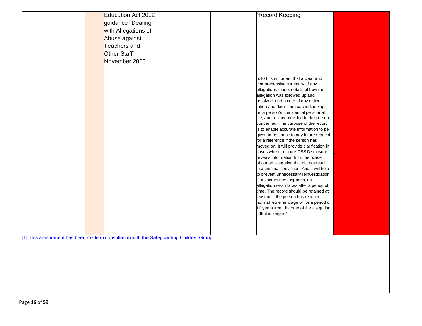|  | Education Act 2002<br>guidance "Dealing<br>with Allegations of<br>Abuse against<br>Teachers and<br>Other Staff"<br>November 2005 |                                                                                        | "Record Keeping                                                                                                                                                                                                                                                                                                                                                                                                                                                                                                                                                                                                                                                                                                                                                                                                                                                                                                                                                                                                               |  |
|--|----------------------------------------------------------------------------------------------------------------------------------|----------------------------------------------------------------------------------------|-------------------------------------------------------------------------------------------------------------------------------------------------------------------------------------------------------------------------------------------------------------------------------------------------------------------------------------------------------------------------------------------------------------------------------------------------------------------------------------------------------------------------------------------------------------------------------------------------------------------------------------------------------------------------------------------------------------------------------------------------------------------------------------------------------------------------------------------------------------------------------------------------------------------------------------------------------------------------------------------------------------------------------|--|
|  |                                                                                                                                  |                                                                                        | 5.10 It is important that a clear and<br>comprehensive summary of any<br>allegations made, details of how the<br>allegation was followed up and<br>resolved, and a note of any action<br>taken and decisions reached, is kept<br>on a person's confidential personnel<br>file, and a copy provided to the person<br>concerned. The purpose of the record<br>is to enable accurate information to be<br>given in response to any future request<br>for a reference if the person has<br>moved on. It will provide clarification in<br>cases where a future DBS Disclosure<br>reveals information from the police<br>about an allegation that did not result<br>in a criminal conviction. And it will help<br>to prevent unnecessary reinvestigation<br>if, as sometimes happens, an<br>allegation re-surfaces after a period of<br>time. The record should be retained at<br>least until the person has reached<br>normal retirement age or for a period of<br>10 years from the date of the allegation<br>if that is longer." |  |
|  |                                                                                                                                  | [1] This amendment has been made in consultation with the Safeguarding Children Group. |                                                                                                                                                                                                                                                                                                                                                                                                                                                                                                                                                                                                                                                                                                                                                                                                                                                                                                                                                                                                                               |  |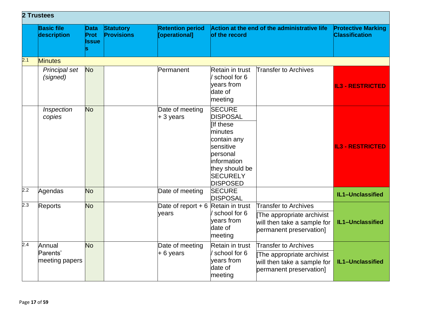|     | 2 Trustees                           |                                   |                                       |                                          |                                                                                                                                                                                 |                                                                                                                    |                                                    |  |  |  |  |
|-----|--------------------------------------|-----------------------------------|---------------------------------------|------------------------------------------|---------------------------------------------------------------------------------------------------------------------------------------------------------------------------------|--------------------------------------------------------------------------------------------------------------------|----------------------------------------------------|--|--|--|--|
|     | <b>Basic file</b><br>description     | <b>Data</b><br>Prot<br>Issue<br>S | <b>Statutory</b><br><b>Provisions</b> | <b>Retention period</b><br>[operational] | Action at the end of the administrative life<br>of the record                                                                                                                   |                                                                                                                    | <b>Protective Marking</b><br><b>Classification</b> |  |  |  |  |
| 2.1 | <b>Minutes</b>                       |                                   |                                       |                                          |                                                                                                                                                                                 |                                                                                                                    |                                                    |  |  |  |  |
|     | Principal set<br>(signed)            | <b>No</b>                         |                                       | Permanent                                | Retain in trust<br>school for 6<br>vears from<br>date of<br>meeting                                                                                                             | <b>Transfer to Archives</b>                                                                                        | <b>IL3 - RESTRICTED</b>                            |  |  |  |  |
|     | Inspection<br>copies                 | <b>No</b>                         |                                       | Date of meeting<br>$+3$ years            | <b>SECURE</b><br><b>DISPOSAL</b><br><b>IIf these</b><br>minutes<br>contain any<br>sensitive<br>personal<br>linformation<br>they should be<br><b>SECURELY</b><br><b>DISPOSED</b> |                                                                                                                    | <b>IL3 - RESTRICTED</b>                            |  |  |  |  |
| 2.2 | Agendas                              | <b>No</b>                         |                                       | Date of meeting                          | <b>SECURE</b><br><b>DISPOSAL</b>                                                                                                                                                |                                                                                                                    | IL1-Unclassified                                   |  |  |  |  |
| 2.3 | Reports                              | <b>No</b>                         |                                       | Date of report $+6$<br>vears             | Retain in trust<br>school for 6<br>years from<br>date of<br>meeting                                                                                                             | <b>Transfer to Archives</b><br>The appropriate archivist<br>will then take a sample for<br>permanent preservation] | IL1-Unclassified                                   |  |  |  |  |
| 2.4 | Annual<br>Parents'<br>meeting papers | <b>No</b>                         |                                       | Date of meeting<br>$+ 6$ years           | Retain in trust<br>school for 6<br>years from<br>date of<br>meeting                                                                                                             | Transfer to Archives<br>The appropriate archivist<br>will then take a sample for<br>permanent preservation]        | IL1-Unclassified                                   |  |  |  |  |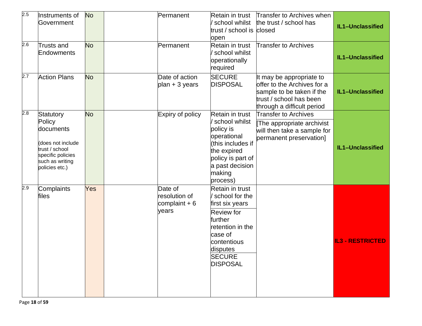| 2.5 | Instruments of<br>Government                                                                                                      | <b>No</b> | Permanent                                           | Retain in trust<br>school whilst<br>trust / school is closed<br>open                                                                                                                 | Transfer to Archives when<br>the trust / school has                                                                                           | IL1-Unclassified        |
|-----|-----------------------------------------------------------------------------------------------------------------------------------|-----------|-----------------------------------------------------|--------------------------------------------------------------------------------------------------------------------------------------------------------------------------------------|-----------------------------------------------------------------------------------------------------------------------------------------------|-------------------------|
| 2.6 | Trusts and<br>Endowments                                                                                                          | <b>No</b> | Permanent                                           | Retain in trust<br>school whilst<br>operationally<br>required                                                                                                                        | <b>Transfer to Archives</b>                                                                                                                   | IL1-Unclassified        |
| 2.7 | <b>Action Plans</b>                                                                                                               | <b>No</b> | Date of action<br>plan + 3 years                    | <b>SECURE</b><br><b>DISPOSAL</b>                                                                                                                                                     | It may be appropriate to<br>offer to the Archives for a<br>sample to be taken if the<br>trust / school has been<br>through a difficult period | IL1-Unclassified        |
| 2.8 | Statutory<br>Policy<br>documents<br>(does not include<br>trust / school<br>specific policies<br>such as writing<br>policies etc.) | <b>No</b> | Expiry of policy                                    | Retain in trust<br>school whilst<br>policy is<br>operational<br>(this includes if<br>the expired<br>policy is part of<br>a past decision<br>making<br>process)                       | <b>Transfer to Archives</b><br>The appropriate archivist<br>will then take a sample for<br>permanent preservation]                            | IL1-Unclassified        |
| 2.9 | Complaints<br>files                                                                                                               | Yes       | Date of<br>resolution of<br>complaint $+6$<br>years | Retain in trust<br>/ school for the<br>first six years<br><b>Review</b> for<br>further<br>retention in the<br>case of<br>contentious<br>disputes<br><b>SECURE</b><br><b>DISPOSAL</b> |                                                                                                                                               | <b>IL3 - RESTRICTED</b> |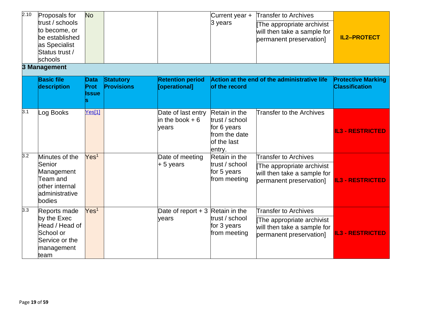| 2.10 | Proposals for<br>trust / schools<br>to become, or<br>be established<br>as Specialist<br>Status trust /<br>schools | <b>No</b>             |                                       |                                                 | Current year +<br>3 years                                                                | <b>Transfer to Archives</b><br>The appropriate archivist<br>will then take a sample for<br>permanent preservation] | <b>IL2-PROTECT</b>                                 |
|------|-------------------------------------------------------------------------------------------------------------------|-----------------------|---------------------------------------|-------------------------------------------------|------------------------------------------------------------------------------------------|--------------------------------------------------------------------------------------------------------------------|----------------------------------------------------|
|      | 3 Management                                                                                                      |                       |                                       |                                                 |                                                                                          |                                                                                                                    |                                                    |
|      | <b>Basic file</b><br>description                                                                                  | Data<br>Prot<br>Issue | <b>Statutory</b><br><b>Provisions</b> | <b>Retention period</b><br>[operational]        | of the record                                                                            | Action at the end of the administrative life                                                                       | <b>Protective Marking</b><br><b>Classification</b> |
| 3.1  | Log Books                                                                                                         | Yes[1]                |                                       | Date of last entry<br>in the book $+6$<br>years | Retain in the<br>trust / school<br>for 6 years<br>from the date<br>of the last<br>entry. | <b>Transfer to the Archives</b>                                                                                    | <b>IL3 - RESTRICTED</b>                            |
| 3.2  | Minutes of the                                                                                                    | Yes <sup>1</sup>      |                                       | Date of meeting                                 | Retain in the                                                                            | <b>Transfer to Archives</b>                                                                                        |                                                    |
|      | Senior<br>Management<br>Team and<br>other internal<br>administrative<br>bodies                                    |                       |                                       | $+5$ years                                      | trust / school<br>for 5 years<br>from meeting                                            | The appropriate archivist<br>will then take a sample for<br>permanent preservation]                                | <b>IL3 - RESTRICTED</b>                            |
| 3.3  | Reports made                                                                                                      | Yes <sup>1</sup>      |                                       | Date of report $+3$ Retain in the               |                                                                                          | <b>Transfer to Archives</b>                                                                                        |                                                    |
|      | by the Exec<br>Head / Head of<br>School or<br>Service or the<br>management<br>team                                |                       |                                       | years                                           | trust / school<br>for 3 years<br>from meeting                                            | The appropriate archivist<br>will then take a sample for<br>permanent preservation]                                | <b>IL3 - RESTRICTED</b>                            |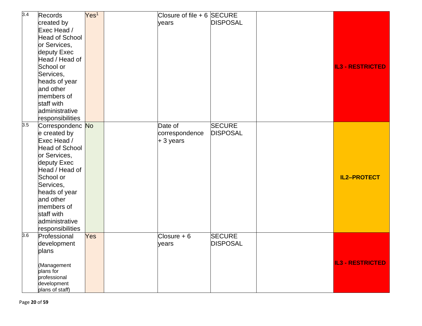| 3.4              | Records                        | Yes <sup>1</sup> |       | Closure of file $+ 6$ SECURE |                 |                         |
|------------------|--------------------------------|------------------|-------|------------------------------|-----------------|-------------------------|
|                  | created by                     |                  | years |                              | <b>DISPOSAL</b> |                         |
|                  | Exec Head /                    |                  |       |                              |                 |                         |
|                  | Head of School                 |                  |       |                              |                 |                         |
|                  | or Services,                   |                  |       |                              |                 |                         |
|                  | deputy Exec                    |                  |       |                              |                 |                         |
|                  | Head / Head of                 |                  |       |                              |                 |                         |
|                  | School or                      |                  |       |                              |                 | <b>IL3 - RESTRICTED</b> |
|                  | Services,                      |                  |       |                              |                 |                         |
|                  | heads of year                  |                  |       |                              |                 |                         |
|                  | and other                      |                  |       |                              |                 |                         |
|                  | members of                     |                  |       |                              |                 |                         |
|                  | staff with                     |                  |       |                              |                 |                         |
|                  | administrative                 |                  |       |                              |                 |                         |
|                  | responsibilities               |                  |       |                              |                 |                         |
| $\overline{3.5}$ | Correspondenc No               |                  |       | Date of                      | <b>SECURE</b>   |                         |
|                  | e created by                   |                  |       | correspondence               | <b>DISPOSAL</b> |                         |
|                  | Exec Head /                    |                  |       | $+3$ years                   |                 |                         |
|                  | Head of School                 |                  |       |                              |                 |                         |
|                  | or Services,                   |                  |       |                              |                 |                         |
|                  | deputy Exec                    |                  |       |                              |                 |                         |
|                  | Head / Head of                 |                  |       |                              |                 |                         |
|                  | School or                      |                  |       |                              |                 | <b>IL2-PROTECT</b>      |
|                  | Services,                      |                  |       |                              |                 |                         |
|                  | heads of year                  |                  |       |                              |                 |                         |
|                  | and other                      |                  |       |                              |                 |                         |
|                  | members of                     |                  |       |                              |                 |                         |
|                  | staff with                     |                  |       |                              |                 |                         |
|                  | administrative                 |                  |       |                              |                 |                         |
|                  | responsibilities               |                  |       |                              |                 |                         |
| 3.6              | Professional                   | Yes              |       | $Closure + 6$                | <b>SECURE</b>   |                         |
|                  | development                    |                  | years |                              | <b>DISPOSAL</b> |                         |
|                  | plans                          |                  |       |                              |                 |                         |
|                  |                                |                  |       |                              |                 |                         |
|                  | (Management                    |                  |       |                              |                 | <b>IL3 - RESTRICTED</b> |
|                  | plans for                      |                  |       |                              |                 |                         |
|                  | professional                   |                  |       |                              |                 |                         |
|                  |                                |                  |       |                              |                 |                         |
|                  | development<br>plans of staff) |                  |       |                              |                 |                         |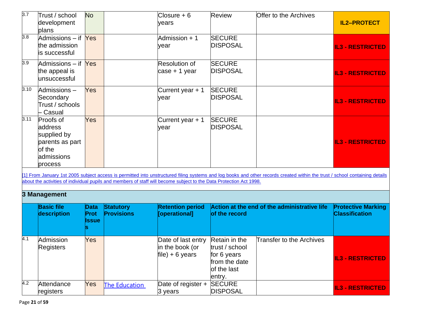| 3.7              | Trust / school<br>development<br>plans                                                    | <b>No</b>                    |                                                                                                                     | $Closure + 6$<br>years                                   | <b>Review</b>                                                                            | <b>Offer to the Archives</b>                                                                                                                                                | <b>IL2-PROTECT</b>                                 |
|------------------|-------------------------------------------------------------------------------------------|------------------------------|---------------------------------------------------------------------------------------------------------------------|----------------------------------------------------------|------------------------------------------------------------------------------------------|-----------------------------------------------------------------------------------------------------------------------------------------------------------------------------|----------------------------------------------------|
| $\overline{3.8}$ | Admissions – if Yes<br>the admission<br>is successful                                     |                              |                                                                                                                     | Admission + 1<br>vear                                    | <b>SECURE</b><br><b>DISPOSAL</b>                                                         |                                                                                                                                                                             | <b>IL3 - RESTRICTED</b>                            |
| 3.9              | Admissions – if Yes<br>the appeal is<br>lunsuccessful                                     |                              |                                                                                                                     | <b>Resolution of</b><br>case + 1 year                    | <b>SECURE</b><br><b>DISPOSAL</b>                                                         |                                                                                                                                                                             | <b>IL3 - RESTRICTED</b>                            |
| 3.10             | Admissions-<br>Secondary<br>Trust / schools<br>Casual                                     | Yes                          |                                                                                                                     | Current year $+1$<br>year                                | <b>SECURE</b><br><b>DISPOSAL</b>                                                         |                                                                                                                                                                             | <b>IL3 - RESTRICTED</b>                            |
| 3.11             | Proofs of<br>address<br>supplied by<br>parents as part<br>of the<br>admissions<br>process | Yes                          |                                                                                                                     | Current year $+1$<br>year                                | <b>SECURE</b><br><b>DISPOSAL</b>                                                         |                                                                                                                                                                             | <b>IL3 - RESTRICTED</b>                            |
|                  |                                                                                           |                              | about the activities of individual pupils and members of staff will become subject to the Data Protection Act 1998. |                                                          |                                                                                          | [1] From January 1st 2005 subject access is permitted into unstructured filing systems and log books and other records created within the trust / school containing details |                                                    |
|                  | 3 Management                                                                              |                              |                                                                                                                     |                                                          |                                                                                          |                                                                                                                                                                             |                                                    |
|                  | <b>Basic file</b><br>description                                                          | <b>Data</b><br>Prot<br>Issue | <b>Statutory</b><br><b>Provisions</b>                                                                               | <b>Retention period</b><br>[operational]                 | of the record                                                                            | Action at the end of the administrative life                                                                                                                                | <b>Protective Marking</b><br><b>Classification</b> |
| 4.1              | Admission<br>Registers                                                                    | Yes                          |                                                                                                                     | Date of last entry<br>in the book (or<br>file) + 6 years | Retain in the<br>trust / school<br>for 6 years<br>from the date<br>of the last<br>entry. | <b>Transfer to the Archives</b>                                                                                                                                             | <b>IL3 - RESTRICTED</b>                            |
| 4.2              | Attendance<br>registers                                                                   | Yes                          | <b>The Education</b>                                                                                                | Date of register +<br>3 years                            | <b>SECURE</b><br><b>DISPOSAL</b>                                                         |                                                                                                                                                                             | <b>IL3 - RESTRICTED</b>                            |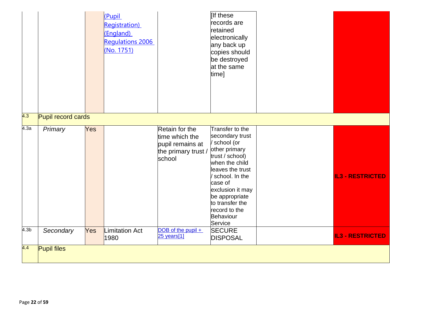|                  |                    |     | (Pupil<br><b>Registration</b> )<br>(England)<br><b>Regulations 2006</b><br>(No. 1751) |                                                                                       | If these<br>records are<br>retained<br>electronically<br>any back up<br>copies should<br>be destroyed<br>at the same<br>time]                                                                                                                               |                         |
|------------------|--------------------|-----|---------------------------------------------------------------------------------------|---------------------------------------------------------------------------------------|-------------------------------------------------------------------------------------------------------------------------------------------------------------------------------------------------------------------------------------------------------------|-------------------------|
| 4.3              | Pupil record cards |     |                                                                                       |                                                                                       |                                                                                                                                                                                                                                                             |                         |
| 4.3a             | Primary            | Yes |                                                                                       | Retain for the<br>time which the<br>pupil remains at<br>the primary trust /<br>school | Transfer to the<br>secondary trust<br>/ school (or<br>other primary<br>trust / school)<br>when the child<br>leaves the trust<br>school. In the<br>case of<br>exclusion it may<br>be appropriate<br>to transfer the<br>record to the<br>Behaviour<br>Service | <b>IL3 - RESTRICTED</b> |
| 4.3 <sub>b</sub> | Secondary          | Yes | Limitation Act<br>1980                                                                | DOB of the pupil $+$<br>25 years[1]                                                   | <b>SECURE</b><br><b>DISPOSAL</b>                                                                                                                                                                                                                            | <b>IL3 - RESTRICTED</b> |
| 4.4              | <b>Pupil files</b> |     |                                                                                       |                                                                                       |                                                                                                                                                                                                                                                             |                         |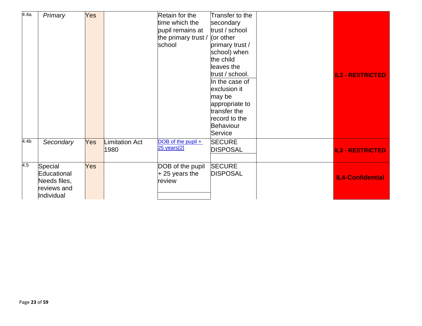| 4.4a             |              |            |                |                                   |                  |                         |
|------------------|--------------|------------|----------------|-----------------------------------|------------------|-------------------------|
|                  | Primary      | Yes        |                | Retain for the                    | Transfer to the  |                         |
|                  |              |            |                | time which the                    | secondary        |                         |
|                  |              |            |                | pupil remains at                  | trust / school   |                         |
|                  |              |            |                | the primary trust / $ $ (or other |                  |                         |
|                  |              |            |                | school                            | primary trust /  |                         |
|                  |              |            |                |                                   | school) when     |                         |
|                  |              |            |                |                                   | the child        |                         |
|                  |              |            |                |                                   | leaves the       |                         |
|                  |              |            |                |                                   | trust / school.  | <b>IL3 - RESTRICTED</b> |
|                  |              |            |                |                                   | In the case of   |                         |
|                  |              |            |                |                                   | exclusion it     |                         |
|                  |              |            |                |                                   | may be           |                         |
|                  |              |            |                |                                   | appropriate to   |                         |
|                  |              |            |                |                                   | transfer the     |                         |
|                  |              |            |                |                                   | record to the    |                         |
|                  |              |            |                |                                   | <b>Behaviour</b> |                         |
|                  |              |            |                |                                   | Service          |                         |
| 4.4 <sub>b</sub> | Secondary    | <b>Yes</b> | Limitation Act | DOB of the pupil +                | <b>SECURE</b>    |                         |
|                  |              |            | 1980           | 25 years[2]                       | <b>DISPOSAL</b>  | <b>IL3 - RESTRICTED</b> |
|                  |              |            |                |                                   |                  |                         |
| 4.5              | Special      | <b>Yes</b> |                | DOB of the pupil                  | <b>SECURE</b>    |                         |
|                  | Educational  |            |                | $+25$ years the                   | <b>DISPOSAL</b>  | <b>IL4-Confidential</b> |
|                  | Needs files, |            |                | review                            |                  |                         |
|                  | reviews and  |            |                |                                   |                  |                         |
|                  | Individual   |            |                |                                   |                  |                         |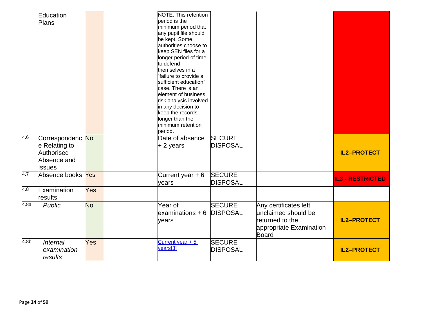|                  | Education<br><b>Plans</b>                                                       |           | <b>NOTE: This retention</b><br>period is the<br>minimum period that<br>any pupil file should<br>be kept. Some<br>authorities choose to<br>keep SEN files for a<br>longer period of time<br>to defend<br>themselves in a<br>"failure to provide a<br>sufficient education"<br>case. There is an<br>element of business<br>risk analysis involved<br>in any decision to<br>keep the records<br>longer than the<br>minimum retention<br>period. |                                  |                                                                                                     |                         |
|------------------|---------------------------------------------------------------------------------|-----------|----------------------------------------------------------------------------------------------------------------------------------------------------------------------------------------------------------------------------------------------------------------------------------------------------------------------------------------------------------------------------------------------------------------------------------------------|----------------------------------|-----------------------------------------------------------------------------------------------------|-------------------------|
| $\overline{4.6}$ | Correspondenc No<br>e Relating to<br>Authorised<br>Absence and<br><b>Issues</b> |           | Date of absence<br>$+2$ years                                                                                                                                                                                                                                                                                                                                                                                                                | <b>SECURE</b><br><b>DISPOSAL</b> |                                                                                                     | <b>IL2-PROTECT</b>      |
| 4.7              | Absence books Yes                                                               |           | Current year $+6$<br>years                                                                                                                                                                                                                                                                                                                                                                                                                   | <b>SECURE</b><br><b>DISPOSAL</b> |                                                                                                     | <b>IL3 - RESTRICTED</b> |
| $\overline{4.8}$ | Examination<br>results                                                          | Yes       |                                                                                                                                                                                                                                                                                                                                                                                                                                              |                                  |                                                                                                     |                         |
| 4.8a             | <b>Public</b>                                                                   | <b>No</b> | Year of<br>$examinations + 6$<br>years                                                                                                                                                                                                                                                                                                                                                                                                       | <b>SECURE</b><br><b>DISPOSAL</b> | Any certificates left<br>unclaimed should be<br>returned to the<br>appropriate Examination<br>Board | <b>IL2-PROTECT</b>      |
| 4.8 <sub>b</sub> | <b>Internal</b><br>examination<br>results                                       | Yes       | Current year $+5$<br>years[3]                                                                                                                                                                                                                                                                                                                                                                                                                | <b>SECURE</b><br><b>DISPOSAL</b> |                                                                                                     | <b>IL2-PROTECT</b>      |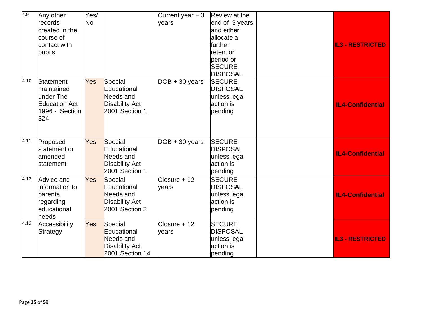| 4.9  | Any other<br>records<br>created in the<br>course of<br>contact with<br>pupils         | Yes/<br>No |                                                                                 | Current year $+3$<br>years | Review at the<br>end of 3 years<br>and either<br>allocate a<br>further<br>retention<br>period or<br><b>SECURE</b><br><b>DISPOSAL</b> | <b>IL3 - RESTRICTED</b> |
|------|---------------------------------------------------------------------------------------|------------|---------------------------------------------------------------------------------|----------------------------|--------------------------------------------------------------------------------------------------------------------------------------|-------------------------|
| 4.10 | Statement<br>maintained<br>under The<br><b>Education Act</b><br>1996 - Section<br>324 | Yes        | Special<br>Educational<br>Needs and<br><b>Disability Act</b><br>2001 Section 1  | $DOB + 30 years$           | <b>SECURE</b><br><b>DISPOSAL</b><br>unless legal<br>action is<br>pending                                                             | <b>IL4-Confidential</b> |
| 4.11 | Proposed<br>statement or<br>amended<br>statement                                      | Yes        | Special<br>Educational<br>Needs and<br><b>Disability Act</b><br>2001 Section 1  | $DOB + 30 years$           | <b>SECURE</b><br><b>DISPOSAL</b><br>unless legal<br>action is<br>pending                                                             | <b>IL4-Confidential</b> |
| 4.12 | Advice and<br>information to<br>parents<br>regarding<br>educational<br>heeds          | <b>Yes</b> | Special<br>Educational<br>Needs and<br><b>Disability Act</b><br>2001 Section 2  | $Closure + 12$<br>years    | <b>SECURE</b><br><b>DISPOSAL</b><br>unless legal<br>action is<br>pending                                                             | <b>IL4-Confidential</b> |
| 4.13 | Accessibility<br>Strategy                                                             | Yes        | Special<br>Educational<br>Needs and<br><b>Disability Act</b><br>2001 Section 14 | $C$ losure + 12<br>years   | <b>SECURE</b><br><b>DISPOSAL</b><br>unless legal<br>action is<br>pending                                                             | <b>IL3 - RESTRICTED</b> |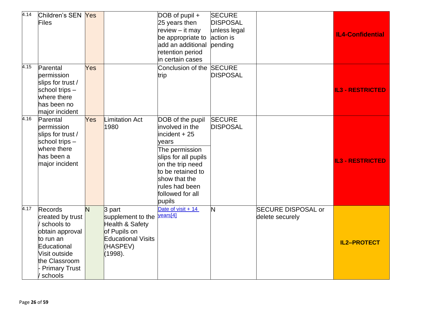| 4.14 | Children's SEN Yes<br>Files                                                                                                                                          |     |                                                                                                                    | $DOB$ of pupil +<br>25 years then<br>review - it may<br>be appropriate to<br>add an additional<br>retention period<br>in certain cases                                                                              | <b>SECURE</b><br><b>DISPOSAL</b><br>unless legal<br>action is<br>pending |                                              | <b>IL4-Confidential</b> |
|------|----------------------------------------------------------------------------------------------------------------------------------------------------------------------|-----|--------------------------------------------------------------------------------------------------------------------|---------------------------------------------------------------------------------------------------------------------------------------------------------------------------------------------------------------------|--------------------------------------------------------------------------|----------------------------------------------|-------------------------|
| 4.15 | Parental<br>permission<br>slips for trust /<br>school trips -<br>where there<br>has been no<br>major incident                                                        | Yes |                                                                                                                    | Conclusion of the<br>trip                                                                                                                                                                                           | <b>SECURE</b><br><b>DISPOSAL</b>                                         |                                              | <b>IL3 - RESTRICTED</b> |
| 4.16 | Parental<br>permission<br>slips for trust /<br>school trips -<br>where there<br>has been a<br>major incident                                                         | Yes | imitation Act<br>1980                                                                                              | DOB of the pupil<br>involved in the<br>$incident + 25$<br>vears<br>The permission<br>slips for all pupils<br>on the trip need<br>to be retained to<br>show that the<br>rules had been<br>followed for all<br>pupils | <b>SECURE</b><br><b>DISPOSAL</b>                                         |                                              | <b>IL3 - RESTRICTED</b> |
| 4.17 | <b>Records</b><br>created by trust<br>schools to<br>obtain approval<br>to run an<br>Educational<br>Visit outside<br>the Classroom<br><b>Primary Trust</b><br>schools | N   | 3 part<br>supplement to the<br>Health & Safety<br>of Pupils on<br><b>Educational Visits</b><br>(HASPEV)<br>(1998). | Date of visit + 14<br>years[4]                                                                                                                                                                                      | N                                                                        | <b>SECURE DISPOSAL or</b><br>delete securely | <b>IL2-PROTECT</b>      |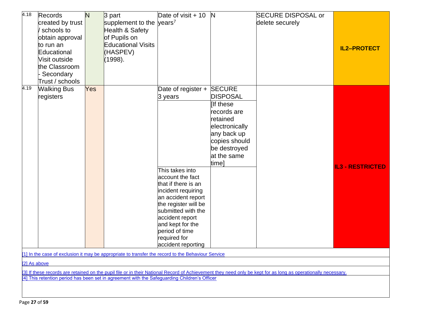| 4.18         | Records<br>created by trust<br>schools to<br>obtain approval<br>to run an<br>Educational<br>Visit outside<br>the Classroom<br>Secondary<br>Trust / schools | N   | 3 part<br>supplement to the years <sup>7</sup><br>Health & Safety<br>of Pupils on<br><b>Educational Visits</b><br>(HASPEV)<br>(1998). | Date of visit $+10$                                                                                                                                                                                                                                                                  | N                                                                                                                                                                 | <b>SECURE DISPOSAL or</b><br>delete securely                                                                                                                  | <b>IL2-PROTECT</b>      |
|--------------|------------------------------------------------------------------------------------------------------------------------------------------------------------|-----|---------------------------------------------------------------------------------------------------------------------------------------|--------------------------------------------------------------------------------------------------------------------------------------------------------------------------------------------------------------------------------------------------------------------------------------|-------------------------------------------------------------------------------------------------------------------------------------------------------------------|---------------------------------------------------------------------------------------------------------------------------------------------------------------|-------------------------|
| 4.19         | <b>Walking Bus</b><br>registers                                                                                                                            | Yes |                                                                                                                                       | Date of register +<br>3 years<br>This takes into<br>account the fact<br>that if there is an<br>incident requiring<br>an accident report<br>the register will be<br>submitted with the<br>accident report<br>and kept for the<br>period of time<br>required for<br>accident reporting | <b>SECURE</b><br><b>DISPOSAL</b><br>If these<br>records are<br>retained<br>electronically<br>any back up<br>copies should<br>be destroyed<br>at the same<br>time] |                                                                                                                                                               | <b>IL3 - RESTRICTED</b> |
|              |                                                                                                                                                            |     | [1] In the case of exclusion it may be appropriate to transfer the record to the Behaviour Service                                    |                                                                                                                                                                                                                                                                                      |                                                                                                                                                                   |                                                                                                                                                               |                         |
| [2] As above |                                                                                                                                                            |     |                                                                                                                                       |                                                                                                                                                                                                                                                                                      |                                                                                                                                                                   |                                                                                                                                                               |                         |
|              |                                                                                                                                                            |     |                                                                                                                                       |                                                                                                                                                                                                                                                                                      |                                                                                                                                                                   | [3] If these records are retained on the pupil file or in their National Record of Achievement they need only be kept for as long as operationally necessary. |                         |
|              |                                                                                                                                                            |     | [4] This retention period has been set in agreement with the Safeguarding Children's Officer                                          |                                                                                                                                                                                                                                                                                      |                                                                                                                                                                   |                                                                                                                                                               |                         |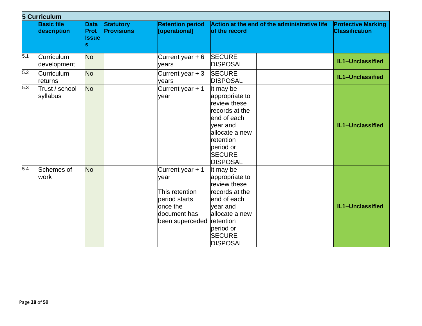|     | <b>5 Curriculum</b>              |                                     |                                       |                                                                                                            |                                                                                                                                                                          |                                                    |
|-----|----------------------------------|-------------------------------------|---------------------------------------|------------------------------------------------------------------------------------------------------------|--------------------------------------------------------------------------------------------------------------------------------------------------------------------------|----------------------------------------------------|
|     | <b>Basic file</b><br>description | <b>Data</b><br>Prot<br><b>Issue</b> | <b>Statutory</b><br><b>Provisions</b> | <b>Retention period</b><br>[operational]                                                                   | Action at the end of the administrative life<br>of the record                                                                                                            | <b>Protective Marking</b><br><b>Classification</b> |
| 5.1 | Curriculum<br>development        | <b>No</b>                           |                                       | Current year $+6$<br>years                                                                                 | <b>SECURE</b><br><b>DISPOSAL</b>                                                                                                                                         | IL1-Unclassified                                   |
| 5.2 | <b>Curriculum</b><br>lreturns    | <b>No</b>                           |                                       | Current year $+3$<br>vears                                                                                 | <b>SECURE</b><br><b>DISPOSAL</b>                                                                                                                                         | IL1-Unclassified                                   |
| 5.3 | Trust / school<br>syllabus       | <b>No</b>                           |                                       | Current year + 1<br>year                                                                                   | It may be<br>appropriate to<br>review these<br>records at the<br>end of each<br>year and<br>allocate a new<br>retention<br>period or<br><b>SECURE</b><br><b>DISPOSAL</b> | IL1-Unclassified                                   |
| 5.4 | Schemes of<br>work               | <b>No</b>                           |                                       | Current year + 1<br>vear<br>This retention<br>period starts<br>once the<br>document has<br>been superceded | It may be<br>appropriate to<br>review these<br>records at the<br>end of each<br>year and<br>allocate a new<br>retention<br>period or<br><b>SECURE</b><br><b>DISPOSAL</b> | IL1-Unclassified                                   |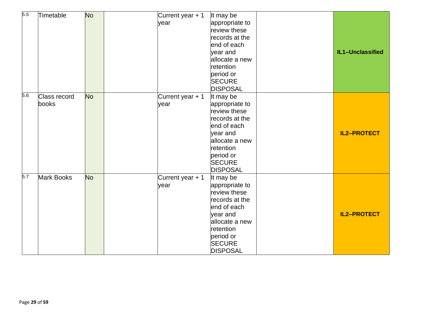| 5.5 | Timetable         | <b>No</b> | Current year + 1 | It may be       |                    |
|-----|-------------------|-----------|------------------|-----------------|--------------------|
|     |                   |           | year             | appropriate to  |                    |
|     |                   |           |                  | review these    |                    |
|     |                   |           |                  | records at the  |                    |
|     |                   |           |                  | end of each     |                    |
|     |                   |           |                  | year and        | IL1-Unclassified   |
|     |                   |           |                  | allocate a new  |                    |
|     |                   |           |                  | retention       |                    |
|     |                   |           |                  | period or       |                    |
|     |                   |           |                  | <b>SECURE</b>   |                    |
|     |                   |           |                  | <b>DISPOSAL</b> |                    |
| 5.6 | Class record      | <b>No</b> | Current year + 1 | It may be       |                    |
|     | books             |           | year             | appropriate to  |                    |
|     |                   |           |                  | review these    |                    |
|     |                   |           |                  | records at the  |                    |
|     |                   |           |                  | end of each     |                    |
|     |                   |           |                  | year and        | <b>IL2-PROTECT</b> |
|     |                   |           |                  | allocate a new  |                    |
|     |                   |           |                  | retention       |                    |
|     |                   |           |                  | period or       |                    |
|     |                   |           |                  | <b>SECURE</b>   |                    |
|     |                   |           |                  | <b>DISPOSAL</b> |                    |
| 5.7 | <b>Mark Books</b> | <b>No</b> | Current year + 1 | It may be       |                    |
|     |                   |           | year             | appropriate to  |                    |
|     |                   |           |                  | review these    |                    |
|     |                   |           |                  | records at the  |                    |
|     |                   |           |                  | end of each     |                    |
|     |                   |           |                  | year and        | <b>IL2-PROTECT</b> |
|     |                   |           |                  | allocate a new  |                    |
|     |                   |           |                  | retention       |                    |
|     |                   |           |                  | period or       |                    |
|     |                   |           |                  | <b>SECURE</b>   |                    |
|     |                   |           |                  | <b>DISPOSAL</b> |                    |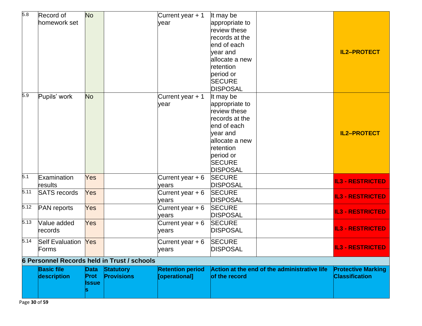| 5.8  | Record of                  | <b>No</b>    |                                                    | Current year + 1        | It may be       |                                              |                           |
|------|----------------------------|--------------|----------------------------------------------------|-------------------------|-----------------|----------------------------------------------|---------------------------|
|      | homework set               |              |                                                    | vear                    | appropriate to  |                                              |                           |
|      |                            |              |                                                    |                         | review these    |                                              |                           |
|      |                            |              |                                                    |                         | records at the  |                                              |                           |
|      |                            |              |                                                    |                         | end of each     |                                              |                           |
|      |                            |              |                                                    |                         | year and        |                                              | <b>IL2-PROTECT</b>        |
|      |                            |              |                                                    |                         | allocate a new  |                                              |                           |
|      |                            |              |                                                    |                         | retention       |                                              |                           |
|      |                            |              |                                                    |                         | period or       |                                              |                           |
|      |                            |              |                                                    |                         | <b>SECURE</b>   |                                              |                           |
|      |                            |              |                                                    |                         | <b>DISPOSAL</b> |                                              |                           |
| 5.9  | Pupils' work               | <b>No</b>    |                                                    | Current year + 1        | It may be       |                                              |                           |
|      |                            |              |                                                    | year                    | appropriate to  |                                              |                           |
|      |                            |              |                                                    |                         | review these    |                                              |                           |
|      |                            |              |                                                    |                         | records at the  |                                              |                           |
|      |                            |              |                                                    |                         | end of each     |                                              |                           |
|      |                            |              |                                                    |                         | vear and        |                                              | <b>IL2-PROTECT</b>        |
|      |                            |              |                                                    |                         | allocate a new  |                                              |                           |
|      |                            |              |                                                    |                         | retention       |                                              |                           |
|      |                            |              |                                                    |                         | period or       |                                              |                           |
|      |                            |              |                                                    |                         | <b>SECURE</b>   |                                              |                           |
|      |                            |              |                                                    |                         | <b>DISPOSAL</b> |                                              |                           |
| 5.1  | Examination                | Yes          |                                                    | Current year $+6$       | <b>SECURE</b>   |                                              | <b>IL3 - RESTRICTED</b>   |
|      | results                    |              |                                                    | years                   | <b>DISPOSAL</b> |                                              |                           |
| 5.11 | <b>SATS</b> records        | Yes          |                                                    | Current year $+6$       | <b>SECURE</b>   |                                              | <b>IL3 - RESTRICTED</b>   |
|      |                            |              |                                                    | years                   | <b>DISPOSAL</b> |                                              |                           |
| 5.12 | <b>PAN</b> reports         | Yes          |                                                    | Current year $+6$       | <b>SECURE</b>   |                                              | <b>IL3 - RESTRICTED</b>   |
|      |                            |              |                                                    | years                   | <b>DISPOSAL</b> |                                              |                           |
| 5.13 | Value added                | Yes          |                                                    | Current year $+6$       | <b>SECURE</b>   |                                              |                           |
|      | records                    |              |                                                    | years                   | <b>DISPOSAL</b> |                                              | <b>IL3 - RESTRICTED</b>   |
| 5.14 | <b>Self Evaluation Yes</b> |              |                                                    | Current year $+6$       | <b>SECURE</b>   |                                              |                           |
|      | Forms                      |              |                                                    | years                   | <b>DISPOSAL</b> |                                              | <b>IL3 - RESTRICTED</b>   |
|      |                            |              | <b>6 Personnel Records held in Trust / schools</b> |                         |                 |                                              |                           |
|      | <b>Basic file</b>          | <b>Data</b>  | <b>Statutory</b>                                   | <b>Retention period</b> |                 | Action at the end of the administrative life | <b>Protective Marking</b> |
|      | description                | <b>Prot</b>  | <b>Provisions</b>                                  | [operational]           | of the record   |                                              | <b>Classification</b>     |
|      |                            | <b>Issue</b> |                                                    |                         |                 |                                              |                           |
|      |                            |              |                                                    |                         |                 |                                              |                           |
|      |                            |              |                                                    |                         |                 |                                              |                           |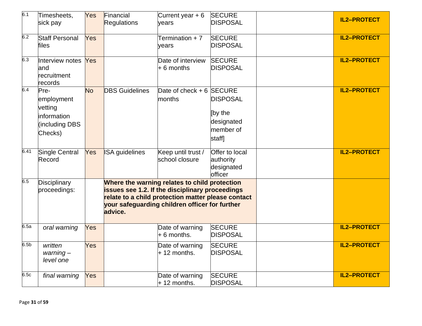| 6.1              | Timesheets,<br>sick pay                                                    | Yes       | Financial<br><b>Regulations</b> | Current year $+6$<br>vears                                                                                                                                                                               | <b>SECURE</b><br><b>DISPOSAL</b>                                | <b>IL2-PROTECT</b> |
|------------------|----------------------------------------------------------------------------|-----------|---------------------------------|----------------------------------------------------------------------------------------------------------------------------------------------------------------------------------------------------------|-----------------------------------------------------------------|--------------------|
| 6.2              | <b>Staff Personal</b><br>files                                             | Yes       |                                 | Termination + 7<br>vears                                                                                                                                                                                 | <b>SECURE</b><br><b>DISPOSAL</b>                                | <b>IL2-PROTECT</b> |
| 6.3              | Interview notes<br>land<br>recruitment<br>records                          | Yes       |                                 | Date of interview<br>$+6$ months                                                                                                                                                                         | <b>SECURE</b><br><b>DISPOSAL</b>                                | <b>IL2-PROTECT</b> |
| 6.4              | Pre-<br>employment<br>vetting<br>linformation<br>(including DBS<br>Checks) | <b>No</b> | <b>DBS</b> Guidelines           | Date of check + 6 SECURE<br>months                                                                                                                                                                       | <b>DISPOSAL</b><br>[by the<br>designated<br>member of<br>staff] | <b>IL2-PROTECT</b> |
| 6.41             | Single Central<br>Record                                                   | Yes       | <b>ISA</b> guidelines           | Keep until trust /<br>school closure                                                                                                                                                                     | Offer to local<br>authority<br>designated<br>officer            | <b>IL2-PROTECT</b> |
| 6.5              | Disciplinary<br>proceedings:                                               |           | advice.                         | Where the warning relates to child protection<br>issues see 1.2. If the disciplinary proceedings<br>relate to a child protection matter please contact<br>your safeguarding children officer for further |                                                                 |                    |
| 6.5a             | oral warning                                                               | Yes       |                                 | Date of warning<br>$+6$ months.                                                                                                                                                                          | <b>SECURE</b><br><b>DISPOSAL</b>                                | <b>IL2-PROTECT</b> |
| 6.5 <sub>b</sub> | written<br>$warning -$<br>level one                                        | Yes       |                                 | Date of warning<br>$+12$ months.                                                                                                                                                                         | <b>SECURE</b><br><b>DISPOSAL</b>                                | <b>IL2-PROTECT</b> |
| 6.5c             | final warning                                                              | Yes       |                                 | Date of warning<br>$+12$ months.                                                                                                                                                                         | <b>SECURE</b><br><b>DISPOSAL</b>                                | <b>IL2-PROTECT</b> |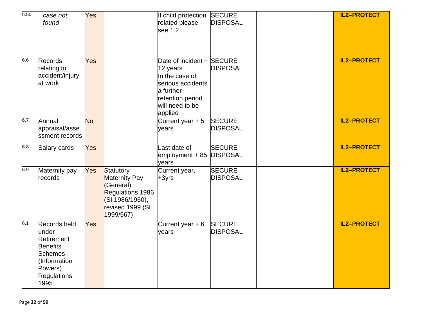| 6.5d | case not<br>found                                                                                                          | Yes       |                                                                                                                 | If child protection<br>related please<br>see 1.2                                                                                            | <b>SECURE</b><br><b>DISPOSAL</b> | <b>IL2-PROTECT</b> |
|------|----------------------------------------------------------------------------------------------------------------------------|-----------|-----------------------------------------------------------------------------------------------------------------|---------------------------------------------------------------------------------------------------------------------------------------------|----------------------------------|--------------------|
| 6.6  | <b>Records</b><br>relating to<br>accident/injury<br>at work                                                                | Yes       |                                                                                                                 | Date of incident + SECURE<br>12 years<br>In the case of<br>serious accidents<br>a further<br>retention period<br>will need to be<br>applied | <b>DISPOSAL</b>                  | <b>IL2-PROTECT</b> |
| 6.7  | Annual<br>appraisal/asse<br>ssment records                                                                                 | <b>No</b> |                                                                                                                 | Current year $+5$<br>years                                                                                                                  | <b>SECURE</b><br><b>DISPOSAL</b> | <b>IL2-PROTECT</b> |
| 6.8  | Salary cards                                                                                                               | Yes       |                                                                                                                 | Last date of<br>employment + 85<br>years                                                                                                    | <b>SECURE</b><br><b>DISPOSAL</b> | <b>IL2-PROTECT</b> |
| 6.9  | Maternity pay<br>records                                                                                                   | Yes       | Statutory<br>Maternity Pay<br>(General)<br>Regulations 1986<br>(SI 1986/1960),<br>revised 1999 (SI<br>1999/567) | Current year,<br>$+3$ yrs                                                                                                                   | <b>SECURE</b><br><b>DISPOSAL</b> | <b>IL2-PROTECT</b> |
| 6.1  | Records held<br>under<br>Retirement<br><b>Benefits</b><br><b>Schemes</b><br>(Information<br>Powers)<br>Regulations<br>1995 | Yes       |                                                                                                                 | Current year $+6$<br>vears                                                                                                                  | <b>SECURE</b><br><b>DISPOSAL</b> | <b>IL2-PROTECT</b> |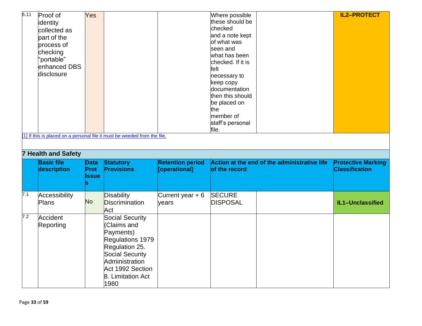| 6.11 | Proof of                   | Yes          |                                                                           |                         | Where possible    |                                              | <b>IL2-PROTECT</b>        |
|------|----------------------------|--------------|---------------------------------------------------------------------------|-------------------------|-------------------|----------------------------------------------|---------------------------|
|      | identity                   |              |                                                                           |                         | these should be   |                                              |                           |
|      | collected as               |              |                                                                           |                         | checked           |                                              |                           |
|      | part of the                |              |                                                                           |                         | and a note kept   |                                              |                           |
|      | process of                 |              |                                                                           |                         | of what was       |                                              |                           |
|      | checking                   |              |                                                                           |                         | seen and          |                                              |                           |
|      | 'portable"                 |              |                                                                           |                         | what has been     |                                              |                           |
|      | enhanced DBS               |              |                                                                           |                         | checked. If it is |                                              |                           |
|      |                            |              |                                                                           |                         | felt              |                                              |                           |
|      | disclosure                 |              |                                                                           |                         | necessary to      |                                              |                           |
|      |                            |              |                                                                           |                         | keep copy         |                                              |                           |
|      |                            |              |                                                                           |                         | documentation     |                                              |                           |
|      |                            |              |                                                                           |                         | then this should  |                                              |                           |
|      |                            |              |                                                                           |                         | be placed on      |                                              |                           |
|      |                            |              |                                                                           |                         | the               |                                              |                           |
|      |                            |              |                                                                           |                         | member of         |                                              |                           |
|      |                            |              |                                                                           |                         | staff's personal  |                                              |                           |
|      |                            |              | [1] If this is placed on a personal file it must be weeded from the file. |                         | file.             |                                              |                           |
|      | <b>7 Health and Safety</b> |              |                                                                           |                         |                   |                                              |                           |
|      | <b>Basic file</b>          | <b>Data</b>  | <b>Statutory</b>                                                          | <b>Retention period</b> |                   | Action at the end of the administrative life | <b>Protective Marking</b> |
|      | description                | Prot         | <b>Provisions</b>                                                         | [operational]           | of the record     |                                              | <b>Classification</b>     |
|      |                            | <b>Issue</b> |                                                                           |                         |                   |                                              |                           |
|      |                            |              |                                                                           |                         |                   |                                              |                           |
| 7.1  | Accessibility              |              | Disability                                                                | Current year $+6$       | <b>SECURE</b>     |                                              |                           |
|      | Plans                      | <b>No</b>    | Discrimination                                                            | years                   | <b>DISPOSAL</b>   |                                              | IL1-Unclassified          |
|      |                            |              | Act                                                                       |                         |                   |                                              |                           |
| 7.2  | Accident                   |              | Social Security                                                           |                         |                   |                                              |                           |
|      | Reporting                  |              | (Claims and                                                               |                         |                   |                                              |                           |
|      |                            |              | Payments)                                                                 |                         |                   |                                              |                           |
|      |                            |              | Regulations 1979                                                          |                         |                   |                                              |                           |
|      |                            |              | Regulation 25.                                                            |                         |                   |                                              |                           |
|      |                            |              |                                                                           |                         |                   |                                              |                           |
|      |                            |              |                                                                           |                         |                   |                                              |                           |
|      |                            |              | Social Security                                                           |                         |                   |                                              |                           |
|      |                            |              | Administration                                                            |                         |                   |                                              |                           |
|      |                            |              | Act 1992 Section                                                          |                         |                   |                                              |                           |
|      |                            |              | 8. Limitation Act<br>1980                                                 |                         |                   |                                              |                           |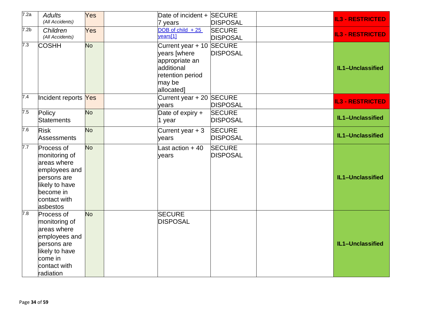| 7.2a             | <b>Adults</b><br>(All Accidents) | Yes       | Date of incident + SECURE      |                 | <b>IL3 - RESTRICTED</b> |
|------------------|----------------------------------|-----------|--------------------------------|-----------------|-------------------------|
|                  |                                  |           | 7 years                        | <b>DISPOSAL</b> |                         |
| 7.2 <sub>b</sub> | Children<br>(All Accidents)      | Yes       | DOB of child $+25$<br>years[1] | <b>SECURE</b>   | <b>IL3 - RESTRICTED</b> |
|                  |                                  |           |                                | <b>DISPOSAL</b> |                         |
| 7.3              | <b>COSHH</b>                     | <b>No</b> | Current year + 10 SECURE       |                 |                         |
|                  |                                  |           | years [where                   | <b>DISPOSAL</b> |                         |
|                  |                                  |           | appropriate an                 |                 |                         |
|                  |                                  |           | additional                     |                 | IL1-Unclassified        |
|                  |                                  |           | retention period               |                 |                         |
|                  |                                  |           | may be                         |                 |                         |
|                  |                                  |           | allocated]                     |                 |                         |
| 7.4              | Incident reports Yes             |           | Current year + 20 SECURE       |                 | <b>IL3 - RESTRICTED</b> |
|                  |                                  |           | years                          | <b>DISPOSAL</b> |                         |
| 7.5              | Policy                           | <b>No</b> | Date of expiry $+$             | <b>SECURE</b>   |                         |
|                  | <b>Statements</b>                |           | 1 year                         | <b>DISPOSAL</b> | IL1-Unclassified        |
| 7.6              | <b>Risk</b>                      | <b>No</b> | Current year $+3$              | <b>SECURE</b>   |                         |
|                  |                                  |           |                                | <b>DISPOSAL</b> | IL1-Unclassified        |
|                  | Assessments                      |           | years                          |                 |                         |
| 7.7              | Process of                       | <b>No</b> | Last action + 40               | <b>SECURE</b>   |                         |
|                  | monitoring of                    |           | years                          | <b>DISPOSAL</b> |                         |
|                  | areas where                      |           |                                |                 |                         |
|                  | employees and                    |           |                                |                 |                         |
|                  | persons are                      |           |                                |                 | IL1-Unclassified        |
|                  | likely to have                   |           |                                |                 |                         |
|                  | become in                        |           |                                |                 |                         |
|                  | contact with                     |           |                                |                 |                         |
|                  | asbestos                         |           |                                |                 |                         |
| 7.8              | Process of                       | <b>No</b> | <b>SECURE</b>                  |                 |                         |
|                  | monitoring of                    |           | <b>DISPOSAL</b>                |                 |                         |
|                  | areas where                      |           |                                |                 |                         |
|                  | employees and                    |           |                                |                 |                         |
|                  | persons are                      |           |                                |                 | IL1-Unclassified        |
|                  | likely to have                   |           |                                |                 |                         |
|                  | come in                          |           |                                |                 |                         |
|                  | contact with                     |           |                                |                 |                         |
|                  | radiation                        |           |                                |                 |                         |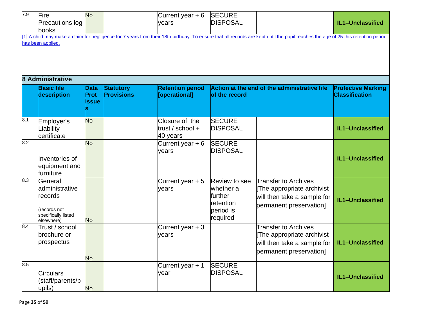| 7.9 | Fire<br>Precautions log<br>books<br>has been applied.                                     | <b>No</b>                    |                                       | Current year $+6$<br>years                       | <b>SECURE</b><br><b>DISPOSAL</b>                                                   | [1] A child may make a claim for negligence for 7 years from their 18th birthday. To ensure that all records are kept until the pupil reaches the age of 25 this retention period | IL1-Unclassified                                   |  |  |  |  |  |
|-----|-------------------------------------------------------------------------------------------|------------------------------|---------------------------------------|--------------------------------------------------|------------------------------------------------------------------------------------|-----------------------------------------------------------------------------------------------------------------------------------------------------------------------------------|----------------------------------------------------|--|--|--|--|--|
|     |                                                                                           |                              |                                       |                                                  |                                                                                    |                                                                                                                                                                                   |                                                    |  |  |  |  |  |
|     | <b>8 Administrative</b><br><b>Basic file</b><br>description                               | <b>Data</b><br>Prot<br>lssue | <b>Statutory</b><br><b>Provisions</b> | <b>Retention period</b><br>[operational]         | of the record                                                                      | Action at the end of the administrative life                                                                                                                                      | <b>Protective Marking</b><br><b>Classification</b> |  |  |  |  |  |
| 8.1 | Employer's<br>Liability<br>certificate                                                    | <b>No</b>                    |                                       | Closure of the<br>trust / school $+$<br>40 years | <b>SECURE</b><br><b>DISPOSAL</b>                                                   |                                                                                                                                                                                   | IL1-Unclassified                                   |  |  |  |  |  |
| 8.2 | Inventories of<br>equipment and<br>furniture                                              | <b>No</b>                    |                                       | Current year $+6$<br>years                       | <b>SECURE</b><br><b>DISPOSAL</b>                                                   |                                                                                                                                                                                   | IL1-Unclassified                                   |  |  |  |  |  |
| 8.3 | General<br>administrative<br>records<br>(records not<br>specifically listed<br>elsewhere) | <b>No</b>                    |                                       | Current year $+5$<br>years                       | <b>Review to see</b><br>whether a<br>further<br>retention<br>period is<br>required | <b>Transfer to Archives</b><br>The appropriate archivist<br>will then take a sample for<br>permanent preservation]                                                                | IL1-Unclassified                                   |  |  |  |  |  |
| 8.4 | Trust / school<br>brochure or<br>prospectus                                               | <b>No</b>                    |                                       | Current year $+3$<br>years                       |                                                                                    | Transfer to Archives<br>The appropriate archivist<br>will then take a sample for<br>permanent preservation]                                                                       | IL1-Unclassified                                   |  |  |  |  |  |
| 8.5 | <b>Circulars</b><br>(staff/parents/p<br>upils)                                            | <b>No</b>                    |                                       | Current year + 1<br>year                         | <b>SECURE</b><br><b>DISPOSAL</b>                                                   |                                                                                                                                                                                   | IL1-Unclassified                                   |  |  |  |  |  |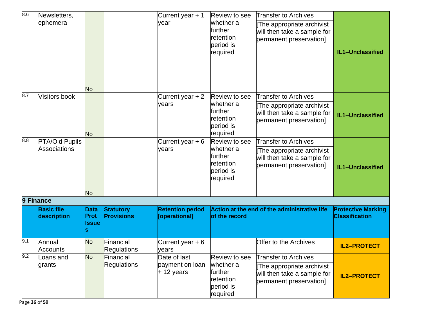| 8.6       | Newsletters,                     |                              |                                       | Current year + 1                                | Review to see                                                               | <b>Transfer to Archives</b>                                                                                        |                                                    |
|-----------|----------------------------------|------------------------------|---------------------------------------|-------------------------------------------------|-----------------------------------------------------------------------------|--------------------------------------------------------------------------------------------------------------------|----------------------------------------------------|
|           | ephemera                         | <b>No</b>                    |                                       | year                                            | whether a<br>further<br>retention<br>period is<br>required                  | The appropriate archivist<br>will then take a sample for<br>permanent preservation]                                | IL1-Unclassified                                   |
| 8.7       | <b>Visitors book</b>             |                              |                                       | Current year + 2                                | Review to see                                                               | <b>Transfer to Archives</b>                                                                                        |                                                    |
|           |                                  | <b>No</b>                    |                                       | years                                           | whether a<br>lfurther<br>retention<br>period is<br>required                 | The appropriate archivist<br>will then take a sample for<br>permanent preservation]                                | IL1-Unclassified                                   |
| 8.8       | <b>PTA/Old Pupils</b>            |                              |                                       | Current year $+6$                               | Review to see                                                               | <b>Transfer to Archives</b>                                                                                        |                                                    |
|           | Associations                     |                              |                                       | years                                           | whether a<br>lfurther<br>retention<br>period is<br>required                 | The appropriate archivist<br>will then take a sample for<br>permanent preservation]                                | IL1-Unclassified                                   |
|           |                                  | <b>No</b>                    |                                       |                                                 |                                                                             |                                                                                                                    |                                                    |
| 9 Finance | <b>Basic file</b><br>description | Data<br>Prot<br><b>Issue</b> | <b>Statutory</b><br><b>Provisions</b> | <b>Retention period</b><br>[operational]        | of the record                                                               | Action at the end of the administrative life                                                                       | <b>Protective Marking</b><br><b>Classification</b> |
| 9.1       | Annual<br>Accounts               | <b>No</b>                    | Financial<br>Regulations              | Current year + 6<br>years                       |                                                                             | Offer to the Archives                                                                                              | <b>IL2-PROTECT</b>                                 |
| 9.2       | Loans and<br>grants              | <b>No</b>                    | Financial<br>Regulations              | Date of last<br>payment on loan<br>$+$ 12 years | Review to see<br>whether a<br>further<br>retention<br>period is<br>required | <b>Transfer to Archives</b><br>The appropriate archivist<br>will then take a sample for<br>permanent preservation] | <b>IL2-PROTECT</b>                                 |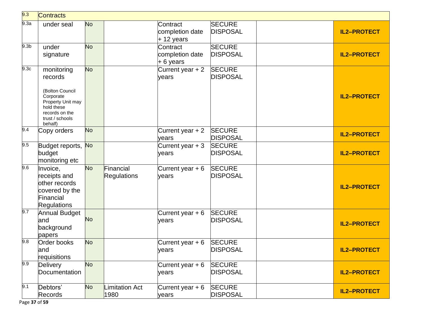| 9.3              | Contracts                                                                                                                                |           |                                 |                                            |                                  |                    |
|------------------|------------------------------------------------------------------------------------------------------------------------------------------|-----------|---------------------------------|--------------------------------------------|----------------------------------|--------------------|
| 9.3a             | under seal                                                                                                                               | <b>No</b> |                                 | Contract<br>completion date<br>$+12$ years | <b>SECURE</b><br><b>DISPOSAL</b> | <b>IL2-PROTECT</b> |
| 9.3 <sub>b</sub> | under<br>signature                                                                                                                       | <b>No</b> |                                 | Contract<br>completion date<br>$+6$ years  | <b>SECURE</b><br><b>DISPOSAL</b> | <b>IL2-PROTECT</b> |
| 9.3c             | monitoring<br>records<br>(Bolton Council<br>Corporate<br>Property Unit may<br>hold these<br>records on the<br>trust / schools<br>behalf) | <b>No</b> |                                 | Current year $+2$<br>years                 | <b>SECURE</b><br><b>DISPOSAL</b> | <b>IL2-PROTECT</b> |
| 9.4              | Copy orders                                                                                                                              | <b>No</b> |                                 | Current year + 2<br>years                  | <b>SECURE</b><br><b>DISPOSAL</b> | <b>IL2-PROTECT</b> |
| 9.5              | Budget reports, No<br>budget<br>monitoring etc                                                                                           |           |                                 | Current year $+3$<br>years                 | <b>SECURE</b><br><b>DISPOSAL</b> | <b>IL2-PROTECT</b> |
| 9.6              | Invoice,<br>receipts and<br>other records<br>covered by the<br>Financial<br><b>Regulations</b>                                           | <b>No</b> | Financial<br><b>Regulations</b> | Current year $+6$<br>years                 | <b>SECURE</b><br><b>DISPOSAL</b> | <b>IL2-PROTECT</b> |
| 9.7              | <b>Annual Budget</b><br>land<br>background<br>papers                                                                                     | <b>No</b> |                                 | Current year + 6<br>years                  | <b>SECURE</b><br><b>DISPOSAL</b> | <b>IL2-PROTECT</b> |
| 9.8              | <b>Order books</b><br>and<br>requisitions                                                                                                | <b>No</b> |                                 | Current year + 6<br>years                  | <b>SECURE</b><br><b>DISPOSAL</b> | <b>IL2-PROTECT</b> |
| 9.9              | <b>Delivery</b><br>Documentation                                                                                                         | <b>No</b> |                                 | Current year $+6$<br>years                 | <b>SECURE</b><br><b>DISPOSAL</b> | <b>IL2-PROTECT</b> |
| 9.1              | Debtors'<br><b>Records</b>                                                                                                               | <b>No</b> | <b>Limitation Act</b><br>1980   | Current year $+6$<br>years                 | <b>SECURE</b><br><b>DISPOSAL</b> | IL2-PROTECT        |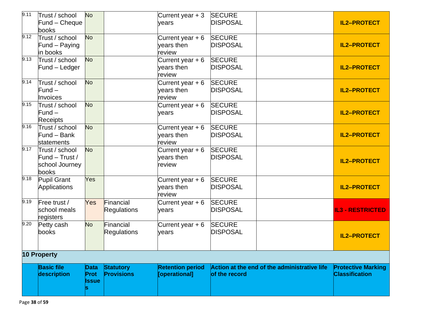| 9.11 | Trust / school<br>Fund - Cheque<br>books                    | <b>No</b>                    |                                       | Current year $+3$<br>years                | <b>SECURE</b><br><b>DISPOSAL</b>                              | <b>IL2-PROTECT</b>                                 |
|------|-------------------------------------------------------------|------------------------------|---------------------------------------|-------------------------------------------|---------------------------------------------------------------|----------------------------------------------------|
| 9.12 | Trust / school<br>Fund – Paying<br>in books                 | <b>No</b>                    |                                       | Current year $+6$<br>vears then<br>review | <b>SECURE</b><br><b>DISPOSAL</b>                              | <b>IL2-PROTECT</b>                                 |
| 9.13 | Trust / school<br>Fund - Ledger                             | <b>No</b>                    |                                       | Current year $+6$<br>vears then<br>review | <b>SECURE</b><br><b>DISPOSAL</b>                              | <b>IL2-PROTECT</b>                                 |
| 9.14 | Trust / school<br>$Fund -$<br>Invoices                      | <b>No</b>                    |                                       | Current year + 6<br>vears then<br>review  | <b>SECURE</b><br><b>DISPOSAL</b>                              | <b>IL2-PROTECT</b>                                 |
| 9.15 | Trust / school<br>$Fund -$<br><b>Receipts</b>               | <b>No</b>                    |                                       | Current year $+6$<br>years                | <b>SECURE</b><br><b>DISPOSAL</b>                              | <b>IL2-PROTECT</b>                                 |
| 9.16 | Trust / school<br>Fund - Bank<br>statements                 | <b>No</b>                    |                                       | Current year $+6$<br>vears then<br>review | <b>SECURE</b><br><b>DISPOSAL</b>                              | <b>IL2-PROTECT</b>                                 |
| 9.17 | Trust / school<br>Fund - Trust /<br>school Journey<br>books | <b>No</b>                    |                                       | Current year $+6$<br>vears then<br>review | <b>SECURE</b><br><b>DISPOSAL</b>                              | <b>IL2-PROTECT</b>                                 |
| 9.18 | <b>Pupil Grant</b><br>Applications                          | Yes                          |                                       | Current year + 6<br>vears then<br>review  | <b>SECURE</b><br><b>DISPOSAL</b>                              | <b>IL2-PROTECT</b>                                 |
| 9.19 | Free trust /<br>school meals<br>registers                   | Yes                          | Financial<br>Regulations              | Current year $+6$<br>years                | <b>SECURE</b><br><b>DISPOSAL</b>                              | <b>IL3 - RESTRICTED</b>                            |
| 9.20 | Petty cash<br>books                                         | <b>No</b>                    | Financial<br><b>Regulations</b>       | Current year + 6<br>years                 | <b>SECURE</b><br><b>DISPOSAL</b>                              | <b>IL2-PROTECT</b>                                 |
|      | 10 Property                                                 |                              |                                       |                                           |                                                               |                                                    |
|      | <b>Basic file</b><br>description                            | Data<br>Prot<br><b>Issue</b> | <b>Statutory</b><br><b>Provisions</b> | <b>Retention period</b><br>[operational]  | Action at the end of the administrative life<br>of the record | <b>Protective Marking</b><br><b>Classification</b> |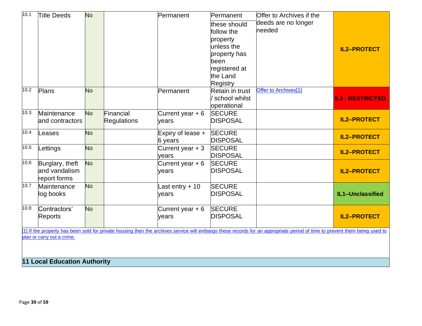| 10.1 | <b>Title Deeds</b>                  | <b>No</b> |                    | Permanent         | Permanent       | Offer to Archives if the                                                                                                                                                   |                         |  |  |  |  |
|------|-------------------------------------|-----------|--------------------|-------------------|-----------------|----------------------------------------------------------------------------------------------------------------------------------------------------------------------------|-------------------------|--|--|--|--|
|      |                                     |           |                    |                   | these should    | deeds are no longer                                                                                                                                                        |                         |  |  |  |  |
|      |                                     |           |                    |                   | follow the      | needed                                                                                                                                                                     |                         |  |  |  |  |
|      |                                     |           |                    |                   | property        |                                                                                                                                                                            |                         |  |  |  |  |
|      |                                     |           |                    |                   | unless the      |                                                                                                                                                                            | <b>IL2-PROTECT</b>      |  |  |  |  |
|      |                                     |           |                    |                   | property has    |                                                                                                                                                                            |                         |  |  |  |  |
|      |                                     |           |                    |                   | been            |                                                                                                                                                                            |                         |  |  |  |  |
|      |                                     |           |                    |                   | registered at   |                                                                                                                                                                            |                         |  |  |  |  |
|      |                                     |           |                    |                   | the Land        |                                                                                                                                                                            |                         |  |  |  |  |
|      |                                     |           |                    |                   | Registry        |                                                                                                                                                                            |                         |  |  |  |  |
| 10.2 | Plans                               | <b>No</b> |                    | Permanent         | Retain in trust | Offer to Archives[1]                                                                                                                                                       |                         |  |  |  |  |
|      |                                     |           |                    |                   | school whilst   |                                                                                                                                                                            | <b>IL3 - RESTRICTED</b> |  |  |  |  |
|      |                                     |           |                    |                   | operational     |                                                                                                                                                                            |                         |  |  |  |  |
| 10.3 | Maintenance                         | <b>No</b> | Financial          | Current year $+6$ | <b>SECURE</b>   |                                                                                                                                                                            |                         |  |  |  |  |
|      | and contractors                     |           | <b>Regulations</b> | years             | <b>DISPOSAL</b> |                                                                                                                                                                            | <b>IL2-PROTECT</b>      |  |  |  |  |
| 10.4 | Leases                              | <b>No</b> |                    | Expiry of lease + | <b>SECURE</b>   |                                                                                                                                                                            | <b>IL2-PROTECT</b>      |  |  |  |  |
|      |                                     |           |                    | 6 years           | <b>DISPOSAL</b> |                                                                                                                                                                            |                         |  |  |  |  |
| 10.5 | Lettings                            | <b>No</b> |                    | Current year $+3$ | <b>SECURE</b>   |                                                                                                                                                                            | <b>IL2-PROTECT</b>      |  |  |  |  |
|      |                                     |           |                    | years             | <b>DISPOSAL</b> |                                                                                                                                                                            |                         |  |  |  |  |
| 10.6 | Burglary, theft                     | <b>No</b> |                    | Current year $+6$ | <b>SECURE</b>   |                                                                                                                                                                            |                         |  |  |  |  |
|      | and vandalism                       |           |                    | years             | <b>DISPOSAL</b> |                                                                                                                                                                            | <b>IL2-PROTECT</b>      |  |  |  |  |
|      | report forms                        |           |                    |                   |                 |                                                                                                                                                                            |                         |  |  |  |  |
| 10.7 | Maintenance                         | <b>No</b> |                    | Last entry $+10$  | <b>SECURE</b>   |                                                                                                                                                                            |                         |  |  |  |  |
|      | log books                           |           |                    | years             | <b>DISPOSAL</b> |                                                                                                                                                                            | IL1-Unclassified        |  |  |  |  |
| 10.8 | Contractors'                        | <b>No</b> |                    |                   | <b>SECURE</b>   |                                                                                                                                                                            |                         |  |  |  |  |
|      |                                     |           |                    | Current year $+6$ | <b>DISPOSAL</b> |                                                                                                                                                                            | <b>IL2-PROTECT</b>      |  |  |  |  |
|      | Reports                             |           |                    | years             |                 |                                                                                                                                                                            |                         |  |  |  |  |
|      |                                     |           |                    |                   |                 | [1] If the property has been sold for private housing then the archives service will embargo these records for an appropriate period of time to prevent them being used to |                         |  |  |  |  |
|      | plan or carry out a crime.          |           |                    |                   |                 |                                                                                                                                                                            |                         |  |  |  |  |
|      |                                     |           |                    |                   |                 |                                                                                                                                                                            |                         |  |  |  |  |
|      |                                     |           |                    |                   |                 |                                                                                                                                                                            |                         |  |  |  |  |
|      | <b>11 Local Education Authority</b> |           |                    |                   |                 |                                                                                                                                                                            |                         |  |  |  |  |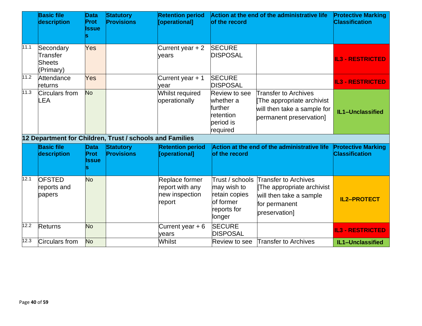|      | <b>Basic file</b><br>description                         | <b>Data</b><br><b>Prot</b><br><b>Issue</b> | <b>Statutory</b><br><b>Provisions</b> | <b>Retention period</b><br>[operational]                      | Action at the end of the administrative life<br>of the record                      |                                                                                                                                | <b>Protective Marking</b><br><b>Classification</b> |
|------|----------------------------------------------------------|--------------------------------------------|---------------------------------------|---------------------------------------------------------------|------------------------------------------------------------------------------------|--------------------------------------------------------------------------------------------------------------------------------|----------------------------------------------------|
| 11.1 | Secondary<br>Transfer<br>Sheets<br>(Primary)             | Yes                                        |                                       | Current year $+2$<br>vears                                    | <b>SECURE</b><br><b>DISPOSAL</b>                                                   |                                                                                                                                | <b>IL3 - RESTRICTED</b>                            |
| 11.2 | Attendance<br>returns                                    | Yes                                        |                                       | Current year + 1<br>vear                                      | <b>SECURE</b><br><b>DISPOSAL</b>                                                   |                                                                                                                                | <b>IL3 - RESTRICTED</b>                            |
| 11.3 | Circulars from<br>-EA                                    | <b>No</b>                                  |                                       | Whilst required<br>operationally                              | <b>Review to see</b><br>whether a<br>further<br>retention<br>period is<br>required | Transfer to Archives<br>The appropriate archivist<br>will then take a sample for<br>permanent preservation]                    | IL1-Unclassified                                   |
|      | 12 Department for Children, Trust / schools and Families |                                            |                                       |                                                               |                                                                                    |                                                                                                                                |                                                    |
|      | <b>Basic file</b><br>description                         | <b>Data</b><br><b>Prot</b><br>Issue        | <b>Statutory</b><br><b>Provisions</b> | <b>Retention period</b><br>[operational]                      | of the record                                                                      | Action at the end of the administrative life                                                                                   | <b>Protective Marking</b><br><b>Classification</b> |
| 12.1 | <b>OFSTED</b><br>reports and<br>papers                   | No                                         |                                       | Replace former<br>report with any<br>new inspection<br>report | may wish to<br>retain copies<br>of former<br>reports for<br>longer                 | Trust / schools Transfer to Archives<br>The appropriate archivist<br>will then take a sample<br>for permanent<br>preservation] | <b>IL2-PROTECT</b>                                 |
| 12.2 | <b>Returns</b>                                           | <b>No</b>                                  |                                       | Current year $+6$<br>vears                                    | <b>SECURE</b><br><b>DISPOSAL</b>                                                   |                                                                                                                                | <b>IL3 - RESTRICTED</b>                            |
| 12.3 | Circulars from                                           | <b>No</b>                                  |                                       | Whilst                                                        | <b>Review to see</b>                                                               | <b>Transfer to Archives</b>                                                                                                    | IL1-Unclassified                                   |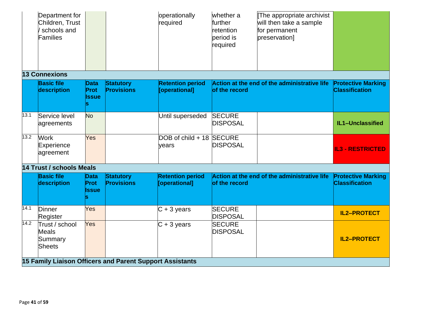|      | Department for<br>Children, Trust<br>schools and<br>Families |                                     |                                       | operationally<br>required                                | whether a<br>further<br>retention<br>period is<br>required | The appropriate archivist<br>will then take a sample<br>for permanent<br>preservation] |                                                    |
|------|--------------------------------------------------------------|-------------------------------------|---------------------------------------|----------------------------------------------------------|------------------------------------------------------------|----------------------------------------------------------------------------------------|----------------------------------------------------|
|      | 13 Connexions                                                |                                     |                                       |                                                          |                                                            |                                                                                        |                                                    |
|      | <b>Basic file</b><br>description                             | <b>Data</b><br>Prot<br><b>Issue</b> | <b>Statutory</b><br><b>Provisions</b> | <b>Retention period</b><br>[operational]                 | of the record                                              | Action at the end of the administrative life                                           | <b>Protective Marking</b><br><b>Classification</b> |
| 13.1 | Service level<br>agreements                                  | <b>No</b>                           |                                       | Until superseded                                         | <b>SECURE</b><br><b>DISPOSAL</b>                           |                                                                                        | IL1-Unclassified                                   |
| 13.2 | <b>Work</b><br>Experience<br>agreement                       | Yes                                 |                                       | DOB of child + 18 SECURE<br>years                        | <b>DISPOSAL</b>                                            |                                                                                        | <b>IL3 - RESTRICTED</b>                            |
|      | <b>14 Trust / schools Meals</b>                              |                                     |                                       |                                                          |                                                            |                                                                                        |                                                    |
|      | <b>Basic file</b><br>description                             | Data<br><b>Prot</b><br><b>Issue</b> | <b>Statutory</b><br><b>Provisions</b> | <b>Retention period</b><br>[operational]                 | of the record                                              | Action at the end of the administrative life                                           | <b>Protective Marking</b><br><b>Classification</b> |
| 14.1 | Dinner<br>Register                                           | Yes                                 |                                       | $C + 3$ years                                            | <b>SECURE</b><br><b>DISPOSAL</b>                           |                                                                                        | <b>IL2-PROTECT</b>                                 |
| 14.2 | Trust / school<br><b>Meals</b><br>Summary<br><b>Sheets</b>   | Yes                                 |                                       | $C + 3$ years                                            | <b>SECURE</b><br><b>DISPOSAL</b>                           |                                                                                        | <b>IL2-PROTECT</b>                                 |
|      |                                                              |                                     |                                       | 15 Family Liaison Officers and Parent Support Assistants |                                                            |                                                                                        |                                                    |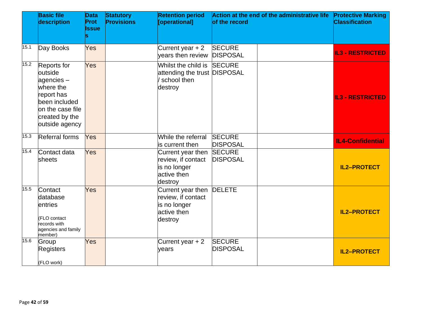|      | <b>Basic file</b><br>description                                                                                                        | <b>Data</b><br><b>Prot</b><br><b>Issue</b><br>lS | <b>Statutory</b><br><b>Provisions</b> | <b>Retention period</b><br>[operational]                                          | of the record                    | Action at the end of the administrative life | <b>Protective Marking</b><br><b>Classification</b> |
|------|-----------------------------------------------------------------------------------------------------------------------------------------|--------------------------------------------------|---------------------------------------|-----------------------------------------------------------------------------------|----------------------------------|----------------------------------------------|----------------------------------------------------|
| 15.1 | Day Books                                                                                                                               | Yes                                              |                                       | Current year $+2$<br>vears then review                                            | <b>SECURE</b><br><b>DISPOSAL</b> |                                              | <b>IL3 - RESTRICTED</b>                            |
| 15.2 | Reports for<br>outside<br>agencies-<br>where the<br>report has<br>been included<br>on the case file<br>created by the<br>outside agency | Yes                                              |                                       | Whilst the child is<br>attending the trust DISPOSAL<br>school then<br>destroy     | <b>SECURE</b>                    |                                              | <b>IL3 - RESTRICTED</b>                            |
| 15.3 | <b>Referral forms</b>                                                                                                                   | Yes                                              |                                       | While the referral<br>is current then                                             | <b>SECURE</b><br><b>DISPOSAL</b> |                                              | <b>IL4-Confidential</b>                            |
| 15.4 | Contact data<br>sheets                                                                                                                  | Yes                                              |                                       | Current year then<br>review, if contact<br>is no longer<br>active then<br>destroy | <b>SECURE</b><br><b>DISPOSAL</b> |                                              | <b>IL2-PROTECT</b>                                 |
| 15.5 | Contact<br>database<br>entries<br>(FLO contact<br>records with<br>agencies and family<br>member)                                        | Yes                                              |                                       | Current year then<br>review, if contact<br>is no longer<br>active then<br>destroy | <b>DELETE</b>                    |                                              | <b>IL2-PROTECT</b>                                 |
| 15.6 | Group<br><b>Registers</b><br>(FLO work)                                                                                                 | Yes                                              |                                       | Current year + 2<br>years                                                         | <b>SECURE</b><br><b>DISPOSAL</b> |                                              | <b>IL2-PROTECT</b>                                 |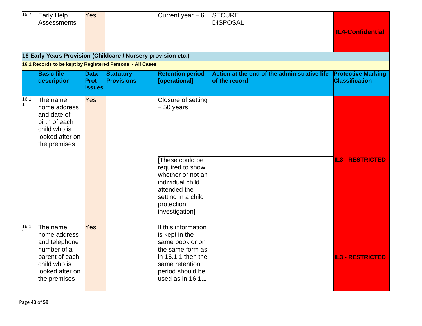| 15.7       | Early Help<br>Assessments                                                                                                      | Yes                           |                                                                                                    | Current year $+6$                                                                                                                                                                      | <b>SECURE</b><br><b>DISPOSAL</b> |                                              | <b>IL4-Confidential</b>                            |
|------------|--------------------------------------------------------------------------------------------------------------------------------|-------------------------------|----------------------------------------------------------------------------------------------------|----------------------------------------------------------------------------------------------------------------------------------------------------------------------------------------|----------------------------------|----------------------------------------------|----------------------------------------------------|
|            |                                                                                                                                |                               | 16 Early Years Provision (Childcare / Nursery provision etc.)                                      |                                                                                                                                                                                        |                                  |                                              |                                                    |
|            | <b>Basic file</b><br>description                                                                                               | Data<br>Prot<br><b>Issues</b> | 16.1 Records to be kept by Registered Persons - All Cases<br><b>Statutory</b><br><b>Provisions</b> | <b>Retention period</b><br>[operational]                                                                                                                                               | of the record                    | Action at the end of the administrative life | <b>Protective Marking</b><br><b>Classification</b> |
| 16.1.      | The name,<br>home address<br>and date of<br>birth of each<br>child who is<br>looked after on<br>the premises                   | Yes                           |                                                                                                    | Closure of setting<br>$+50$ years<br>These could be<br>required to show<br>whether or not an<br>individual child<br>attended the<br>setting in a child<br>protection<br>investigation] |                                  |                                              | <b>IL3 - RESTRICTED</b>                            |
| 16.1.<br>2 | The name,<br>home address<br>and telephone<br>number of a<br>parent of each<br>child who is<br>looked after on<br>the premises | Yes                           |                                                                                                    | If this information<br>is kept in the<br>same book or on<br>the same form as<br>in 16.1.1 then the<br>same retention<br>period should be<br>used as in 16.1.1                          |                                  |                                              | <b>IL3 - RESTRICTED</b>                            |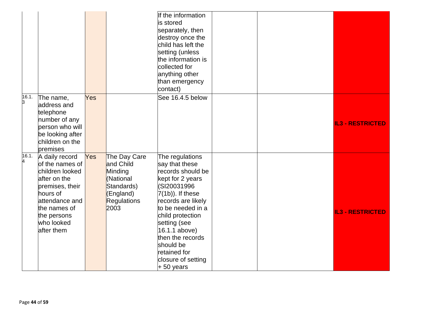|            |                                                                                                                                                                                  |     |                                                                                                            | If the information<br>is stored<br>separately, then<br>destroy once the<br>child has left the<br>setting (unless<br>the information is                                                                                                                                                                 |  |                         |
|------------|----------------------------------------------------------------------------------------------------------------------------------------------------------------------------------|-----|------------------------------------------------------------------------------------------------------------|--------------------------------------------------------------------------------------------------------------------------------------------------------------------------------------------------------------------------------------------------------------------------------------------------------|--|-------------------------|
|            |                                                                                                                                                                                  |     |                                                                                                            | collected for<br>anything other<br>than emergency<br>contact)                                                                                                                                                                                                                                          |  |                         |
| 16.1.<br>3 | The name,<br>address and<br>telephone<br>number of any<br>person who will<br>be looking after<br>children on the<br>premises                                                     | Yes |                                                                                                            | See 16.4.5 below                                                                                                                                                                                                                                                                                       |  | <b>IL3 - RESTRICTED</b> |
| 16.1.<br>4 | A daily record<br>of the names of<br>children looked<br>after on the<br>premises, their<br>hours of<br>attendance and<br>the names of<br>the persons<br>who looked<br>after them | Yes | The Day Care<br>and Child<br>Minding<br>(National<br>Standards)<br>(England)<br><b>Regulations</b><br>2003 | The regulations<br>say that these<br>records should be<br>kept for 2 years<br>(SI20031996<br>$7(1b)$ ). If these<br>records are likely<br>to be needed in a<br>child protection<br>setting (see<br>16.1.1 above)<br>then the records<br>should be<br>retained for<br>closure of setting<br>$+50$ years |  | <b>IL3 - RESTRICTED</b> |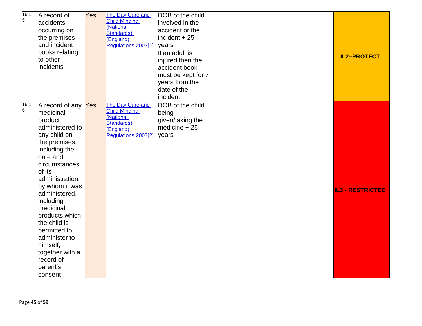| 16.1.<br>5 | A record of<br>accidents<br>occurring on<br>the premises<br>and incident<br>books relating<br>to other<br>incidents                                                                                                                                                                                                                                                           | Yes | The Day Care and<br><b>Child Minding</b><br>(National<br>Standards)<br>(England)<br>Regulations 2003[1]        | DOB of the child<br>involved in the<br>accident or the<br>incident $+25$<br>years<br>If an adult is<br>injured then the<br>accident book<br>must be kept for 7<br>years from the<br>date of the<br>incident |  | <b>IL2-PROTECT</b>      |
|------------|-------------------------------------------------------------------------------------------------------------------------------------------------------------------------------------------------------------------------------------------------------------------------------------------------------------------------------------------------------------------------------|-----|----------------------------------------------------------------------------------------------------------------|-------------------------------------------------------------------------------------------------------------------------------------------------------------------------------------------------------------|--|-------------------------|
| 16.1.<br>6 | A record of any Yes<br>medicinal<br>product<br>administered to<br>any child on<br>the premises,<br>including the<br>date and<br>circumstances<br>of its<br>administration,<br>by whom it was<br>administered,<br>including<br>medicinal<br>products which<br>the child is<br>permitted to<br>administer to<br>himself,<br>together with a<br>record of<br>parent's<br>consent |     | The Day Care and<br><b>Child Minding</b><br>(National<br><b>Standards)</b><br>(England)<br>Regulations 2003[2] | DOB of the child<br>being<br>given/taking the<br>medicine $+25$<br>years                                                                                                                                    |  | <b>IL3 - RESTRICTED</b> |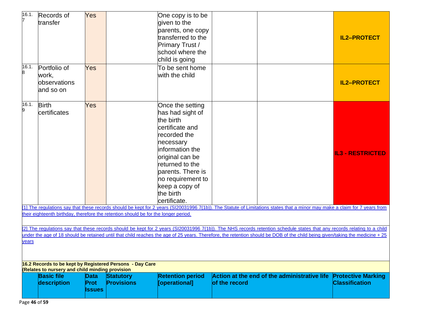| 16.1.                                                                                                                                                                                  | Records of<br>transfer                             | Yes                                  |                                                                                     | One copy is to be<br>given to the<br>parents, one copy<br>transferred to the<br>Primary Trust /<br>school where the<br>child is going                                                                                                                |                                                                                                                                                                            | <b>IL2-PROTECT</b>                                 |  |  |  |
|----------------------------------------------------------------------------------------------------------------------------------------------------------------------------------------|----------------------------------------------------|--------------------------------------|-------------------------------------------------------------------------------------|------------------------------------------------------------------------------------------------------------------------------------------------------------------------------------------------------------------------------------------------------|----------------------------------------------------------------------------------------------------------------------------------------------------------------------------|----------------------------------------------------|--|--|--|
| 16.1.<br>8                                                                                                                                                                             | Portfolio of<br>work,<br>observations<br>and so on | Yes                                  |                                                                                     | To be sent home<br>with the child                                                                                                                                                                                                                    |                                                                                                                                                                            | <b>IL2-PROTECT</b>                                 |  |  |  |
| 16.1.<br>9                                                                                                                                                                             | <b>Birth</b><br>certificates                       | Yes                                  |                                                                                     | Once the setting<br>has had sight of<br>the birth<br>lcertificate and<br>recorded the<br>necessary<br>information the<br>original can be<br>returned to the<br>parents. There is<br>no requirement to<br>keep a copy of<br>the birth<br>certificate. |                                                                                                                                                                            | <b>IL3 - RESTRICTED</b>                            |  |  |  |
|                                                                                                                                                                                        |                                                    |                                      | their eighteenth birthday, therefore the retention should be for the longer period. |                                                                                                                                                                                                                                                      | [1] The regulations say that these records should be kept for 2 years (SI20031996 7(1b)). The Statute of Limitations states that a minor may make a claim for 7 years from |                                                    |  |  |  |
|                                                                                                                                                                                        |                                                    |                                      |                                                                                     |                                                                                                                                                                                                                                                      |                                                                                                                                                                            |                                                    |  |  |  |
|                                                                                                                                                                                        |                                                    |                                      |                                                                                     |                                                                                                                                                                                                                                                      | [2] The regulations say that these records should be kept for 2 years (SI20031996 7(1b)). The NHS records retention schedule states that any records relating to a child   |                                                    |  |  |  |
| under the age of 18 should be retained until that child reaches the age of 25 years. Therefore, the retention should be DOB of the child being given/taking the medicine + 25<br>years |                                                    |                                      |                                                                                     |                                                                                                                                                                                                                                                      |                                                                                                                                                                            |                                                    |  |  |  |
|                                                                                                                                                                                        | Relates to nursery and child minding provision     |                                      | 16.2 Records to be kept by Registered Persons - Day Care                            |                                                                                                                                                                                                                                                      |                                                                                                                                                                            |                                                    |  |  |  |
|                                                                                                                                                                                        | <b>Basic file</b><br>description                   | <b>Data</b><br>Prot<br><b>Issues</b> | <b>Statutory</b><br><b>Provisions</b>                                               | <b>Retention period</b><br>[operational]                                                                                                                                                                                                             | Action at the end of the administrative life<br>of the record                                                                                                              | <b>Protective Marking</b><br><b>Classification</b> |  |  |  |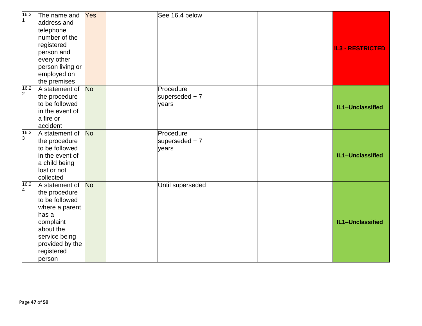| 16.2.      | The name and     | Yes       | See 16.4 below   |                         |
|------------|------------------|-----------|------------------|-------------------------|
| 1          | address and      |           |                  |                         |
|            | telephone        |           |                  |                         |
|            | number of the    |           |                  |                         |
|            | registered       |           |                  |                         |
|            | person and       |           |                  | <b>IL3 - RESTRICTED</b> |
|            | every other      |           |                  |                         |
|            | person living or |           |                  |                         |
|            | employed on      |           |                  |                         |
|            | the premises     |           |                  |                         |
| 16.2.      | A statement of   | <b>No</b> | Procedure        |                         |
| 2          | the procedure    |           | superseded $+7$  |                         |
|            | to be followed   |           | years            | IL1-Unclassified        |
|            | in the event of  |           |                  |                         |
|            | a fire or        |           |                  |                         |
|            | accident         |           |                  |                         |
| 16.2.<br>3 | A statement of   | <b>No</b> | Procedure        |                         |
|            | the procedure    |           | superseded $+7$  |                         |
|            | to be followed   |           | years            |                         |
|            | in the event of  |           |                  | IL1-Unclassified        |
|            | a child being    |           |                  |                         |
|            | lost or not      |           |                  |                         |
|            | collected        |           |                  |                         |
| 16.2.<br>4 | A statement of   | <b>No</b> | Until superseded |                         |
|            | the procedure    |           |                  |                         |
|            | to be followed   |           |                  |                         |
|            | where a parent   |           |                  |                         |
|            | has a            |           |                  |                         |
|            | complaint        |           |                  | IL1-Unclassified        |
|            | about the        |           |                  |                         |
|            | service being    |           |                  |                         |
|            | provided by the  |           |                  |                         |
|            | registered       |           |                  |                         |
|            | person           |           |                  |                         |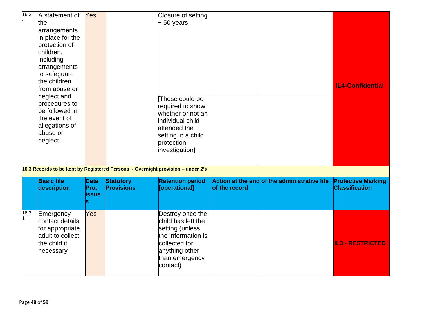| 16.2. | A statement of<br>the<br>arrangements<br>in place for the<br>protection of<br>children,<br>including<br>arrangements<br>to safeguard<br>the children<br>from abuse or<br>neglect and<br>procedures to<br>be followed in<br>the event of<br>allegations of<br>abuse or<br>neglect | Yes                          |                                       | Closure of setting<br>$+50$ years<br>These could be<br>required to show<br>whether or not an<br>individual child<br>attended the<br>setting in a child<br>protection<br>investigation] |               |                                              | <b>IL4-Confidential</b>                            |
|-------|----------------------------------------------------------------------------------------------------------------------------------------------------------------------------------------------------------------------------------------------------------------------------------|------------------------------|---------------------------------------|----------------------------------------------------------------------------------------------------------------------------------------------------------------------------------------|---------------|----------------------------------------------|----------------------------------------------------|
|       | <b>Basic file</b><br>description                                                                                                                                                                                                                                                 | Data<br>Prot<br><b>Issue</b> | <b>Statutory</b><br><b>Provisions</b> | 16.3 Records to be kept by Registered Persons - Overnight provision - under 2's<br><b>Retention period</b><br>[operational]                                                            | of the record | Action at the end of the administrative life | <b>Protective Marking</b><br><b>Classification</b> |
| 16.3. | Emergency<br>contact details<br>for appropriate<br>adult to collect<br>the child if<br>necessary                                                                                                                                                                                 | Yes                          |                                       | Destroy once the<br>child has left the<br>setting (unless<br>the information is<br>collected for<br>anything other<br>than emergency<br>contact)                                       |               |                                              | <b>IL3 - RESTRICTED</b>                            |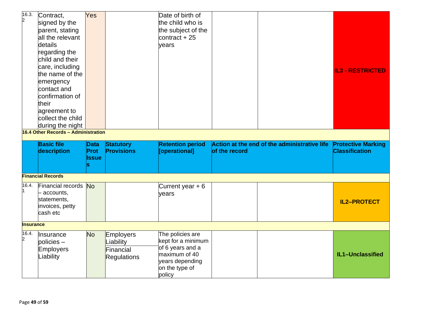| 16.3.            | Contract,                           | Yes            |                    | Date of birth of                       |               |                                              |                           |
|------------------|-------------------------------------|----------------|--------------------|----------------------------------------|---------------|----------------------------------------------|---------------------------|
| $\overline{2}$   | signed by the                       |                |                    | the child who is                       |               |                                              |                           |
|                  | parent, stating                     |                |                    | the subject of the                     |               |                                              |                           |
|                  | all the relevant                    |                |                    | contract $+25$                         |               |                                              |                           |
|                  | details                             |                |                    | years                                  |               |                                              |                           |
|                  | regarding the                       |                |                    |                                        |               |                                              |                           |
|                  | child and their                     |                |                    |                                        |               |                                              |                           |
|                  | care, including                     |                |                    |                                        |               |                                              |                           |
|                  | the name of the                     |                |                    |                                        |               |                                              | <b>IL3 - RESTRICTED</b>   |
|                  | emergency                           |                |                    |                                        |               |                                              |                           |
|                  | contact and                         |                |                    |                                        |               |                                              |                           |
|                  | confirmation of                     |                |                    |                                        |               |                                              |                           |
|                  | their                               |                |                    |                                        |               |                                              |                           |
|                  | agreement to                        |                |                    |                                        |               |                                              |                           |
|                  | collect the child                   |                |                    |                                        |               |                                              |                           |
|                  | during the night                    |                |                    |                                        |               |                                              |                           |
|                  | 16.4 Other Records - Administration |                |                    |                                        |               |                                              |                           |
|                  | <b>Basic file</b>                   | <b>Data</b>    | <b>Statutory</b>   | <b>Retention period</b>                |               | Action at the end of the administrative life | <b>Protective Marking</b> |
|                  | description                         | Prot           | <b>Provisions</b>  | [operational]                          | of the record |                                              | <b>Classification</b>     |
|                  |                                     | <b>Issue</b>   |                    |                                        |               |                                              |                           |
|                  |                                     | S              |                    |                                        |               |                                              |                           |
|                  |                                     |                |                    |                                        |               |                                              |                           |
|                  | <b>Financial Records</b>            |                |                    |                                        |               |                                              |                           |
| 16.4.            | Financial records No                |                |                    | Current year $+6$                      |               |                                              |                           |
|                  | - accounts,                         |                |                    | vears                                  |               |                                              |                           |
|                  | statements,                         |                |                    |                                        |               |                                              | <b>IL2-PROTECT</b>        |
|                  | invoices, petty                     |                |                    |                                        |               |                                              |                           |
|                  |                                     |                |                    |                                        |               |                                              |                           |
|                  | cash etc                            |                |                    |                                        |               |                                              |                           |
| <b>Insurance</b> |                                     |                |                    |                                        |               |                                              |                           |
| 16.4.            |                                     |                |                    |                                        |               |                                              |                           |
| 2                | Insurance                           | N <sub>o</sub> | <b>Employers</b>   | The policies are<br>kept for a minimum |               |                                              |                           |
|                  | policies-                           |                | Liability          | of 6 years and a                       |               |                                              |                           |
|                  | Employers                           |                | Financial          | maximum of 40                          |               |                                              | IL1-Unclassified          |
|                  | Liability                           |                | <b>Regulations</b> | years depending                        |               |                                              |                           |
|                  |                                     |                |                    | on the type of<br>policy               |               |                                              |                           |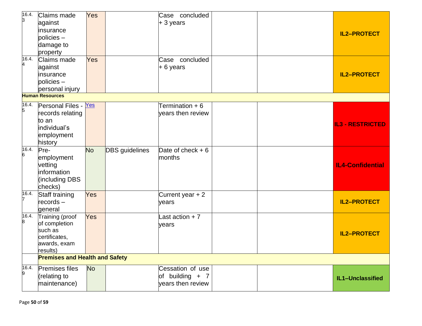| 16.4.<br>3 | <b>Claims made</b><br>against<br>linsurance<br>$policies -$<br>damage to                   | Yes            |                       | Case concluded<br>$+3$ years                               |  | <b>IL2-PROTECT</b>      |
|------------|--------------------------------------------------------------------------------------------|----------------|-----------------------|------------------------------------------------------------|--|-------------------------|
| 16.4.      | property<br>Claims made<br>against<br>insurance<br>$policies -$<br>personal injury         | Yes            |                       | Case concluded<br>$+ 6$ years                              |  | <b>IL2-PROTECT</b>      |
|            | <b>Human Resources</b>                                                                     |                |                       |                                                            |  |                         |
| 16.4.<br>5 | Personal Files - Yes<br>records relating<br>to an<br>individual's<br>employment<br>history |                |                       | Termination + 6<br>vears then review                       |  | <b>IL3 - RESTRICTED</b> |
| 16.4.<br>6 | Pre-<br>employment<br>vetting<br>information<br>(including DBS<br>checks)                  | N <sub>o</sub> | <b>DBS</b> guidelines | Date of check $+6$<br>months                               |  | <b>IL4-Confidential</b> |
| 16.4.      | Staff training<br>$records -$<br>general                                                   | Yes            |                       | Current year $+2$<br>years                                 |  | <b>IL2-PROTECT</b>      |
| 16.4.<br>8 | Training (proof<br>of completion<br>such as<br>certificates,<br>awards, exam<br>results)   | Yes            |                       | Last action $+7$<br>years                                  |  | <b>IL2-PROTECT</b>      |
|            | <b>Premises and Health and Safety</b>                                                      |                |                       |                                                            |  |                         |
| 16.4.<br>9 | <b>Premises files</b><br>(relating to<br>maintenance)                                      | <b>No</b>      |                       | Cessation of use<br>of building $+ 7$<br>years then review |  | IL1-Unclassified        |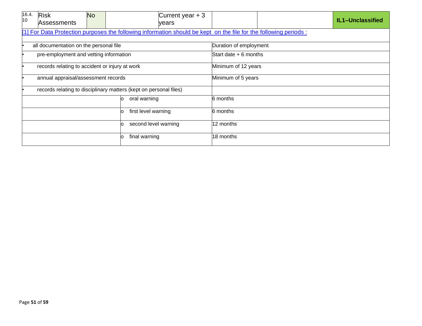| 16.4.<br>10                            | <b>Risk</b><br>Assessments                                        | <b>No</b> |                    | Current year $+3$<br>years                                                                                       |                        |  |  | IL1-Unclassified |  |
|----------------------------------------|-------------------------------------------------------------------|-----------|--------------------|------------------------------------------------------------------------------------------------------------------|------------------------|--|--|------------------|--|
|                                        |                                                                   |           |                    | [1] For Data Protection purposes the following information should be kept on the file for the following periods: |                        |  |  |                  |  |
| all documentation on the personal file |                                                                   |           |                    |                                                                                                                  | Duration of employment |  |  |                  |  |
|                                        | pre-employment and vetting information                            |           |                    |                                                                                                                  | Start date $+6$ months |  |  |                  |  |
|                                        | records relating to accident or injury at work                    |           |                    | Minimum of 12 years                                                                                              |                        |  |  |                  |  |
|                                        | annual appraisal/assessment records                               |           |                    |                                                                                                                  | Minimum of 5 years     |  |  |                  |  |
|                                        | records relating to disciplinary matters (kept on personal files) |           |                    |                                                                                                                  |                        |  |  |                  |  |
|                                        |                                                                   |           | oral warning<br>O  |                                                                                                                  | 6 months               |  |  |                  |  |
| first level warning<br>O               |                                                                   |           | 6 months           |                                                                                                                  |                        |  |  |                  |  |
|                                        |                                                                   |           | O                  | second level warning                                                                                             | 12 months              |  |  |                  |  |
|                                        |                                                                   |           | final warning<br>n |                                                                                                                  | 18 months              |  |  |                  |  |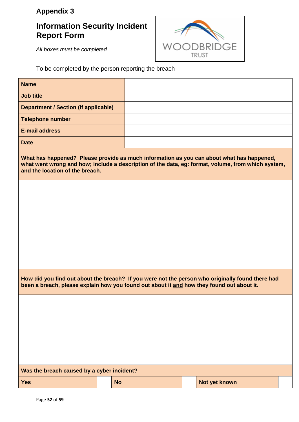## **Appendix 3**

## **Information Security Incident Report Form**



*All boxes must be completed*

To be completed by the person reporting the breach

| <b>Name</b>                                 |                                                                                                                                                                                                 |
|---------------------------------------------|-------------------------------------------------------------------------------------------------------------------------------------------------------------------------------------------------|
| <b>Job title</b>                            |                                                                                                                                                                                                 |
| <b>Department / Section (if applicable)</b> |                                                                                                                                                                                                 |
| <b>Telephone number</b>                     |                                                                                                                                                                                                 |
| <b>E-mail address</b>                       |                                                                                                                                                                                                 |
| <b>Date</b>                                 |                                                                                                                                                                                                 |
| and the location of the breach.             | What has happened? Please provide as much information as you can about what has happened,<br>what went wrong and how; include a description of the data, eg: format, volume, from which system, |
|                                             |                                                                                                                                                                                                 |
|                                             |                                                                                                                                                                                                 |
|                                             |                                                                                                                                                                                                 |
|                                             |                                                                                                                                                                                                 |

**How did you find out about the breach? If you were not the person who originally found there had been a breach, please explain how you found out about it and how they found out about it.**

| Was the breach caused by a cyber incident? |  |           |  |               |  |  |
|--------------------------------------------|--|-----------|--|---------------|--|--|
| <b>Yes</b>                                 |  | <b>No</b> |  | Not yet known |  |  |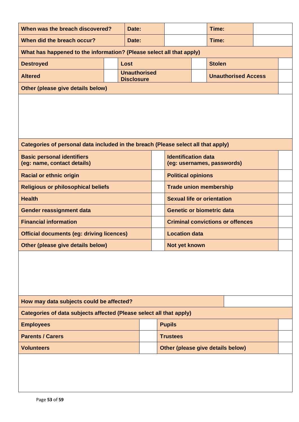| When was the breach discovered?<br>Date:                                          |  |                                          |                                   |                                                          |  | Time:         |                                         |  |  |
|-----------------------------------------------------------------------------------|--|------------------------------------------|-----------------------------------|----------------------------------------------------------|--|---------------|-----------------------------------------|--|--|
| When did the breach occur?<br>Date:                                               |  |                                          |                                   |                                                          |  | Time:         |                                         |  |  |
| What has happened to the information? (Please select all that apply)              |  |                                          |                                   |                                                          |  |               |                                         |  |  |
| <b>Destroyed</b>                                                                  |  | Lost                                     |                                   |                                                          |  | <b>Stolen</b> |                                         |  |  |
| <b>Altered</b>                                                                    |  | <b>Unauthorised</b><br><b>Disclosure</b> |                                   |                                                          |  |               | <b>Unauthorised Access</b>              |  |  |
| Other (please give details below)                                                 |  |                                          |                                   |                                                          |  |               |                                         |  |  |
|                                                                                   |  |                                          |                                   |                                                          |  |               |                                         |  |  |
| Categories of personal data included in the breach (Please select all that apply) |  |                                          |                                   |                                                          |  |               |                                         |  |  |
| <b>Basic personal identifiers</b><br>(eg: name, contact details)                  |  |                                          |                                   | <b>Identification data</b><br>(eg: usernames, passwords) |  |               |                                         |  |  |
| <b>Racial or ethnic origin</b>                                                    |  |                                          |                                   | <b>Political opinions</b>                                |  |               |                                         |  |  |
| <b>Religious or philosophical beliefs</b>                                         |  |                                          |                                   | <b>Trade union membership</b>                            |  |               |                                         |  |  |
| <b>Health</b>                                                                     |  |                                          |                                   | <b>Sexual life or orientation</b>                        |  |               |                                         |  |  |
| <b>Gender reassignment data</b>                                                   |  |                                          |                                   | <b>Genetic or biometric data</b>                         |  |               |                                         |  |  |
| <b>Financial information</b>                                                      |  |                                          |                                   |                                                          |  |               | <b>Criminal convictions or offences</b> |  |  |
| <b>Official documents (eg: driving licences)</b>                                  |  |                                          |                                   | <b>Location data</b>                                     |  |               |                                         |  |  |
| Other (please give details below)                                                 |  |                                          |                                   | Not yet known                                            |  |               |                                         |  |  |
|                                                                                   |  |                                          |                                   |                                                          |  |               |                                         |  |  |
| How may data subjects could be affected?                                          |  |                                          |                                   |                                                          |  |               |                                         |  |  |
| Categories of data subjects affected (Please select all that apply)               |  |                                          |                                   |                                                          |  |               |                                         |  |  |
| <b>Employees</b>                                                                  |  |                                          |                                   | <b>Pupils</b>                                            |  |               |                                         |  |  |
| <b>Parents / Carers</b>                                                           |  |                                          |                                   | <b>Trustees</b>                                          |  |               |                                         |  |  |
| <b>Volunteers</b>                                                                 |  |                                          | Other (please give details below) |                                                          |  |               |                                         |  |  |
|                                                                                   |  |                                          |                                   |                                                          |  |               |                                         |  |  |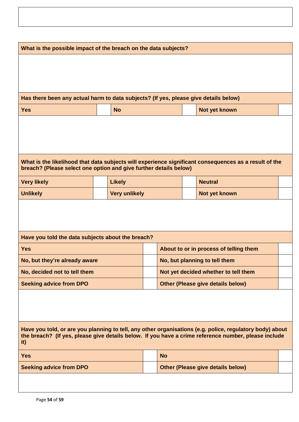| What is the possible impact of the breach on the data subjects?                                                                                                                                                         |  |                      |  |                                                                         |  |                                                                                                       |  |  |
|-------------------------------------------------------------------------------------------------------------------------------------------------------------------------------------------------------------------------|--|----------------------|--|-------------------------------------------------------------------------|--|-------------------------------------------------------------------------------------------------------|--|--|
|                                                                                                                                                                                                                         |  |                      |  |                                                                         |  |                                                                                                       |  |  |
|                                                                                                                                                                                                                         |  |                      |  |                                                                         |  |                                                                                                       |  |  |
|                                                                                                                                                                                                                         |  |                      |  |                                                                         |  |                                                                                                       |  |  |
| Has there been any actual harm to data subjects? (If yes, please give details below)                                                                                                                                    |  |                      |  |                                                                         |  |                                                                                                       |  |  |
| <b>Yes</b>                                                                                                                                                                                                              |  | <b>No</b>            |  |                                                                         |  | Not yet known                                                                                         |  |  |
|                                                                                                                                                                                                                         |  |                      |  |                                                                         |  |                                                                                                       |  |  |
|                                                                                                                                                                                                                         |  |                      |  |                                                                         |  |                                                                                                       |  |  |
|                                                                                                                                                                                                                         |  |                      |  |                                                                         |  |                                                                                                       |  |  |
|                                                                                                                                                                                                                         |  |                      |  |                                                                         |  | What is the likelihood that data subjects will experience significant consequences as a result of the |  |  |
| breach? (Please select one option and give further details below)                                                                                                                                                       |  |                      |  |                                                                         |  |                                                                                                       |  |  |
| <b>Very likely</b>                                                                                                                                                                                                      |  | <b>Likely</b>        |  |                                                                         |  | <b>Neutral</b>                                                                                        |  |  |
| <b>Unlikely</b>                                                                                                                                                                                                         |  | <b>Very unlikely</b> |  |                                                                         |  | Not yet known                                                                                         |  |  |
|                                                                                                                                                                                                                         |  |                      |  |                                                                         |  |                                                                                                       |  |  |
|                                                                                                                                                                                                                         |  |                      |  |                                                                         |  |                                                                                                       |  |  |
|                                                                                                                                                                                                                         |  |                      |  |                                                                         |  |                                                                                                       |  |  |
| Have you told the data subjects about the breach?<br><b>Yes</b>                                                                                                                                                         |  |                      |  |                                                                         |  |                                                                                                       |  |  |
| No, but they're already aware                                                                                                                                                                                           |  |                      |  | About to or in process of telling them<br>No, but planning to tell them |  |                                                                                                       |  |  |
| No, decided not to tell them                                                                                                                                                                                            |  |                      |  |                                                                         |  | Not yet decided whether to tell them                                                                  |  |  |
| <b>Seeking advice from DPO</b>                                                                                                                                                                                          |  |                      |  |                                                                         |  | <b>Other (Please give details below)</b>                                                              |  |  |
|                                                                                                                                                                                                                         |  |                      |  |                                                                         |  |                                                                                                       |  |  |
|                                                                                                                                                                                                                         |  |                      |  |                                                                         |  |                                                                                                       |  |  |
|                                                                                                                                                                                                                         |  |                      |  |                                                                         |  |                                                                                                       |  |  |
| Have you told, or are you planning to tell, any other organisations (e.g. police, regulatory body) about<br>the breach? (If yes, please give details below. If you have a crime reference number, please include<br>it) |  |                      |  |                                                                         |  |                                                                                                       |  |  |
| <b>Yes</b>                                                                                                                                                                                                              |  |                      |  | <b>No</b>                                                               |  |                                                                                                       |  |  |
| <b>Seeking advice from DPO</b>                                                                                                                                                                                          |  |                      |  |                                                                         |  | <b>Other (Please give details below)</b>                                                              |  |  |
|                                                                                                                                                                                                                         |  |                      |  |                                                                         |  |                                                                                                       |  |  |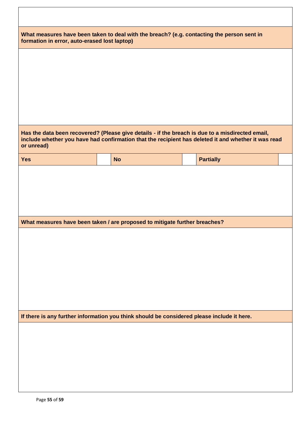|            | What measures have been taken to deal with the breach? (e.g. contacting the person sent in<br>formation in error, auto-erased lost laptop) |                                                                                                                                                                                                         |  |  |  |  |
|------------|--------------------------------------------------------------------------------------------------------------------------------------------|---------------------------------------------------------------------------------------------------------------------------------------------------------------------------------------------------------|--|--|--|--|
|            |                                                                                                                                            |                                                                                                                                                                                                         |  |  |  |  |
|            |                                                                                                                                            |                                                                                                                                                                                                         |  |  |  |  |
|            |                                                                                                                                            |                                                                                                                                                                                                         |  |  |  |  |
|            |                                                                                                                                            |                                                                                                                                                                                                         |  |  |  |  |
| or unread) |                                                                                                                                            | Has the data been recovered? (Please give details - if the breach is due to a misdirected email,<br>include whether you have had confirmation that the recipient has deleted it and whether it was read |  |  |  |  |
| <b>Yes</b> | <b>No</b>                                                                                                                                  | <b>Partially</b>                                                                                                                                                                                        |  |  |  |  |
|            |                                                                                                                                            |                                                                                                                                                                                                         |  |  |  |  |
|            |                                                                                                                                            |                                                                                                                                                                                                         |  |  |  |  |
|            |                                                                                                                                            |                                                                                                                                                                                                         |  |  |  |  |
|            |                                                                                                                                            |                                                                                                                                                                                                         |  |  |  |  |
|            | What measures have been taken / are proposed to mitigate further breaches?                                                                 |                                                                                                                                                                                                         |  |  |  |  |
|            |                                                                                                                                            |                                                                                                                                                                                                         |  |  |  |  |
|            |                                                                                                                                            |                                                                                                                                                                                                         |  |  |  |  |
|            |                                                                                                                                            |                                                                                                                                                                                                         |  |  |  |  |
|            |                                                                                                                                            |                                                                                                                                                                                                         |  |  |  |  |
|            |                                                                                                                                            |                                                                                                                                                                                                         |  |  |  |  |
|            |                                                                                                                                            |                                                                                                                                                                                                         |  |  |  |  |
|            | If there is any further information you think should be considered please include it here.                                                 |                                                                                                                                                                                                         |  |  |  |  |
|            |                                                                                                                                            |                                                                                                                                                                                                         |  |  |  |  |
|            |                                                                                                                                            |                                                                                                                                                                                                         |  |  |  |  |
|            |                                                                                                                                            |                                                                                                                                                                                                         |  |  |  |  |
|            |                                                                                                                                            |                                                                                                                                                                                                         |  |  |  |  |
|            |                                                                                                                                            |                                                                                                                                                                                                         |  |  |  |  |
|            |                                                                                                                                            |                                                                                                                                                                                                         |  |  |  |  |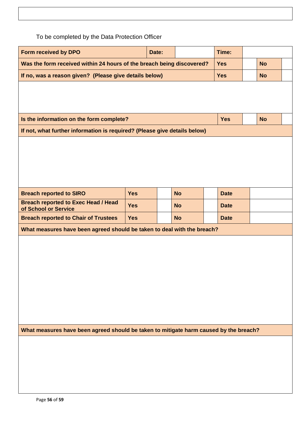To be completed by the Data Protection Officer

| Form received by DPO                                                                  | Date:      |           | Time:     |             |           |  |
|---------------------------------------------------------------------------------------|------------|-----------|-----------|-------------|-----------|--|
| Was the form received within 24 hours of the breach being discovered?                 | <b>Yes</b> | <b>No</b> |           |             |           |  |
| If no, was a reason given? (Please give details below)                                |            |           |           | <b>Yes</b>  | <b>No</b> |  |
|                                                                                       |            |           |           |             |           |  |
|                                                                                       |            |           |           |             |           |  |
|                                                                                       |            |           |           |             |           |  |
| Is the information on the form complete?                                              |            |           |           | <b>Yes</b>  | <b>No</b> |  |
| If not, what further information is required? (Please give details below)             |            |           |           |             |           |  |
|                                                                                       |            |           |           |             |           |  |
|                                                                                       |            |           |           |             |           |  |
|                                                                                       |            |           |           |             |           |  |
|                                                                                       |            |           |           |             |           |  |
|                                                                                       |            |           |           |             |           |  |
|                                                                                       |            |           |           |             |           |  |
| <b>Breach reported to SIRO</b>                                                        | <b>Yes</b> |           | <b>No</b> | <b>Date</b> |           |  |
| <b>Breach reported to Exec Head / Head</b><br>of School or Service                    | <b>Yes</b> |           | <b>No</b> | <b>Date</b> |           |  |
| <b>Breach reported to Chair of Trustees</b>                                           | Yes        |           | <b>No</b> | <b>Date</b> |           |  |
| What measures have been agreed should be taken to deal with the breach?               |            |           |           |             |           |  |
|                                                                                       |            |           |           |             |           |  |
|                                                                                       |            |           |           |             |           |  |
|                                                                                       |            |           |           |             |           |  |
|                                                                                       |            |           |           |             |           |  |
|                                                                                       |            |           |           |             |           |  |
|                                                                                       |            |           |           |             |           |  |
|                                                                                       |            |           |           |             |           |  |
|                                                                                       |            |           |           |             |           |  |
|                                                                                       |            |           |           |             |           |  |
|                                                                                       |            |           |           |             |           |  |
| What measures have been agreed should be taken to mitigate harm caused by the breach? |            |           |           |             |           |  |
|                                                                                       |            |           |           |             |           |  |
|                                                                                       |            |           |           |             |           |  |
|                                                                                       |            |           |           |             |           |  |
|                                                                                       |            |           |           |             |           |  |
|                                                                                       |            |           |           |             |           |  |
|                                                                                       |            |           |           |             |           |  |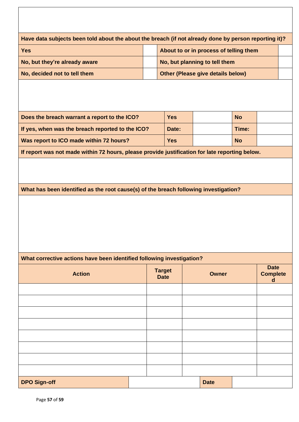| Have data subjects been told about the about the breach (if not already done by person reporting it)? |                              |                                          |           |                                     |  |
|-------------------------------------------------------------------------------------------------------|------------------------------|------------------------------------------|-----------|-------------------------------------|--|
| <b>Yes</b>                                                                                            |                              | About to or in process of telling them   |           |                                     |  |
| No, but they're already aware                                                                         |                              | No, but planning to tell them            |           |                                     |  |
| No, decided not to tell them                                                                          |                              | <b>Other (Please give details below)</b> |           |                                     |  |
|                                                                                                       |                              |                                          |           |                                     |  |
| Does the breach warrant a report to the ICO?                                                          | <b>Yes</b>                   |                                          | <b>No</b> |                                     |  |
| If yes, when was the breach reported to the ICO?                                                      | Date:                        |                                          | Time:     |                                     |  |
| Was report to ICO made within 72 hours?                                                               | <b>Yes</b>                   |                                          | <b>No</b> |                                     |  |
| If report was not made within 72 hours, please provide justification for late reporting below.        |                              |                                          |           |                                     |  |
| What has been identified as the root cause(s) of the breach following investigation?                  |                              |                                          |           |                                     |  |
| What corrective actions have been identified following investigation?                                 |                              |                                          |           |                                     |  |
| <b>Action</b>                                                                                         | <b>Target</b><br><b>Date</b> | <b>Owner</b>                             |           | <b>Date</b><br><b>Complete</b><br>d |  |
|                                                                                                       |                              |                                          |           |                                     |  |
|                                                                                                       |                              |                                          |           |                                     |  |
|                                                                                                       |                              |                                          |           |                                     |  |
|                                                                                                       |                              |                                          |           |                                     |  |
|                                                                                                       |                              |                                          |           |                                     |  |
|                                                                                                       |                              |                                          |           |                                     |  |
|                                                                                                       |                              |                                          |           |                                     |  |
|                                                                                                       |                              |                                          |           |                                     |  |
| <b>DPO Sign-off</b>                                                                                   |                              | <b>Date</b>                              |           |                                     |  |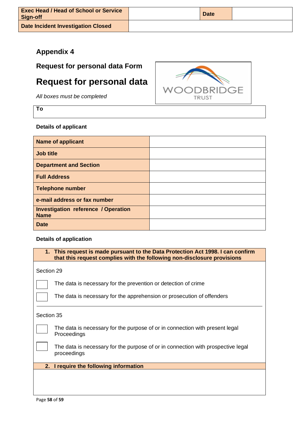| <b>Exec Head / Head of School or Service</b><br>Sign-off | <b>Date</b> |  |
|----------------------------------------------------------|-------------|--|
| Date Incident Investigation Closed                       |             |  |

## **Appendix 4**

**Request for personal data Form**

## **Request for personal data**

*All boxes must be completed*

**To**

#### **Details of applicant**

| <b>Name of applicant</b>                                  |  |
|-----------------------------------------------------------|--|
| <b>Job title</b>                                          |  |
| <b>Department and Section</b>                             |  |
| <b>Full Address</b>                                       |  |
| <b>Telephone number</b>                                   |  |
| e-mail address or fax number                              |  |
| <b>Investigation reference / Operation</b><br><b>Name</b> |  |
| <b>Date</b>                                               |  |

#### **Details of application**

**1. This request is made pursuant to the Data Protection Act 1998. I can confirm that this request complies with the following non-disclosure provisions** 

Section 29

The data is necessary for the prevention or detection of crime

The data is necessary for the apprehension or prosecution of offenders

Section 35

 The data is necessary for the purpose of or in connection with present legal Proceedings

 The data is necessary for the purpose of or in connection with prospective legal proceedings

**2. I require the following information**